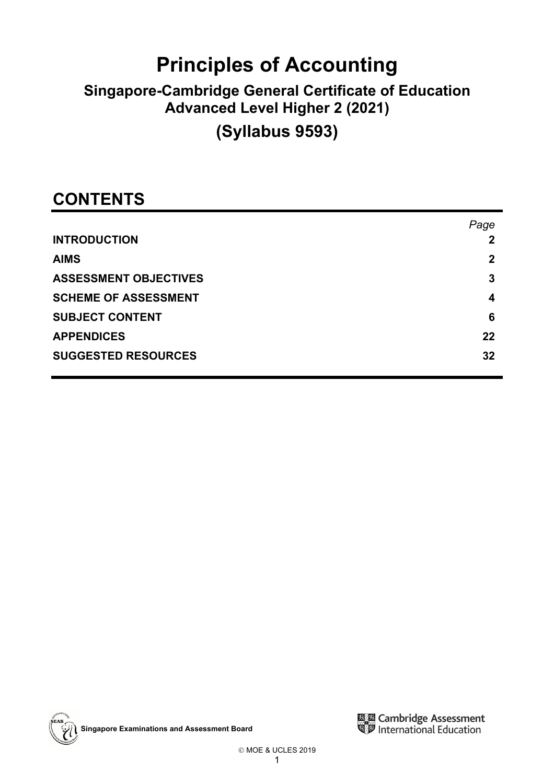# **Principles of Accounting**

## **Singapore-Cambridge General Certificate of Education Advanced Level Higher 2 (2021)**

# **(Syllabus 9593)**

## **CONTENTS**

|                              | Page        |
|------------------------------|-------------|
| <b>INTRODUCTION</b>          |             |
| <b>AIMS</b>                  | $\mathbf 2$ |
| <b>ASSESSMENT OBJECTIVES</b> | 3           |
| <b>SCHEME OF ASSESSMENT</b>  | 4           |
| <b>SUBJECT CONTENT</b>       | 6           |
| <b>APPENDICES</b>            | 22          |
| <b>SUGGESTED RESOURCES</b>   | 32          |
|                              |             |

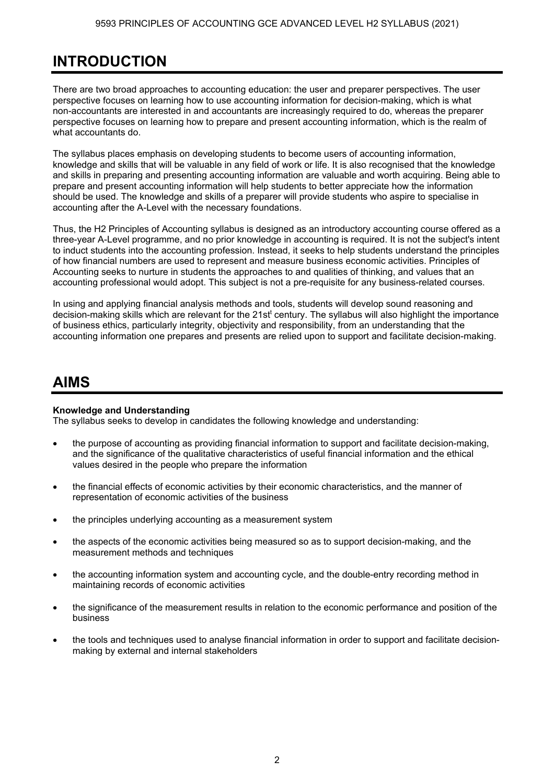## **INTRODUCTION**

There are two broad approaches to accounting education: the user and preparer perspectives. The user perspective focuses on learning how to use accounting information for decision-making, which is what non-accountants are interested in and accountants are increasingly required to do, whereas the preparer perspective focuses on learning how to prepare and present accounting information, which is the realm of what accountants do.

The syllabus places emphasis on developing students to become users of accounting information, knowledge and skills that will be valuable in any field of work or life. It is also recognised that the knowledge and skills in preparing and presenting accounting information are valuable and worth acquiring. Being able to prepare and present accounting information will help students to better appreciate how the information should be used. The knowledge and skills of a preparer will provide students who aspire to specialise in accounting after the A-Level with the necessary foundations.

Thus, the H2 Principles of Accounting syllabus is designed as an introductory accounting course offered as a three-year A-Level programme, and no prior knowledge in accounting is required. It is not the subject's intent to induct students into the accounting profession. Instead, it seeks to help students understand the principles of how financial numbers are used to represent and measure business economic activities. Principles of Accounting seeks to nurture in students the approaches to and qualities of thinking, and values that an accounting professional would adopt. This subject is not a pre-requisite for any business-related courses.

In using and applying financial analysis methods and tools, students will develop sound reasoning and decision-making skills which are relevant for the 21st<sup>t</sup> century. The syllabus will also highlight the importance of business ethics, particularly integrity, objectivity and responsibility, from an understanding that the accounting information one prepares and presents are relied upon to support and facilitate decision-making.

### **AIMS**

#### **Knowledge and Understanding**

The syllabus seeks to develop in candidates the following knowledge and understanding:

- the purpose of accounting as providing financial information to support and facilitate decision-making, and the significance of the qualitative characteristics of useful financial information and the ethical values desired in the people who prepare the information
- the financial effects of economic activities by their economic characteristics, and the manner of representation of economic activities of the business
- the principles underlying accounting as a measurement system
- the aspects of the economic activities being measured so as to support decision-making, and the measurement methods and techniques
- the accounting information system and accounting cycle, and the double-entry recording method in maintaining records of economic activities
- the significance of the measurement results in relation to the economic performance and position of the business
- the tools and techniques used to analyse financial information in order to support and facilitate decisionmaking by external and internal stakeholders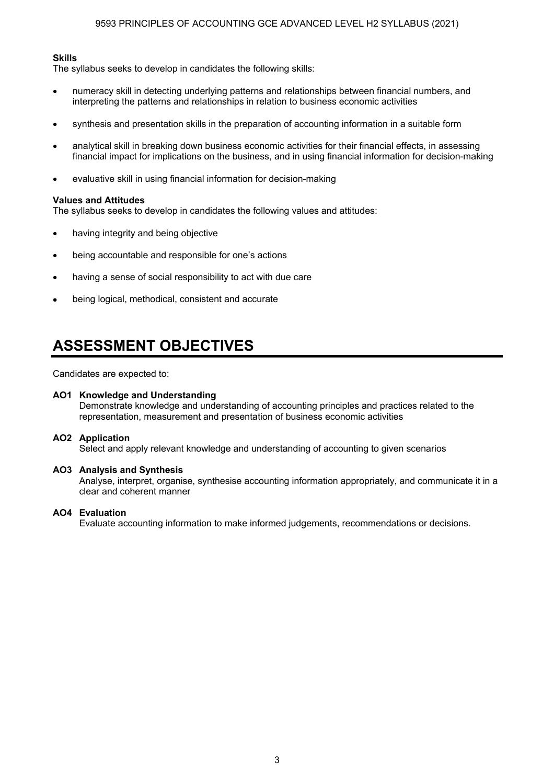#### **Skills**

The syllabus seeks to develop in candidates the following skills:

- numeracy skill in detecting underlying patterns and relationships between financial numbers, and interpreting the patterns and relationships in relation to business economic activities
- synthesis and presentation skills in the preparation of accounting information in a suitable form
- analytical skill in breaking down business economic activities for their financial effects, in assessing financial impact for implications on the business, and in using financial information for decision-making
- evaluative skill in using financial information for decision-making

#### **Values and Attitudes**

The syllabus seeks to develop in candidates the following values and attitudes:

- having integrity and being objective
- being accountable and responsible for one's actions
- having a sense of social responsibility to act with due care
- being logical, methodical, consistent and accurate

### **ASSESSMENT OBJECTIVES**

Candidates are expected to:

#### **AO1 Knowledge and Understanding**

 Demonstrate knowledge and understanding of accounting principles and practices related to the representation, measurement and presentation of business economic activities

#### **AO2 Application**

Select and apply relevant knowledge and understanding of accounting to given scenarios

#### **AO3 Analysis and Synthesis**

 Analyse, interpret, organise, synthesise accounting information appropriately, and communicate it in a clear and coherent manner

#### **AO4 Evaluation**

Evaluate accounting information to make informed judgements, recommendations or decisions.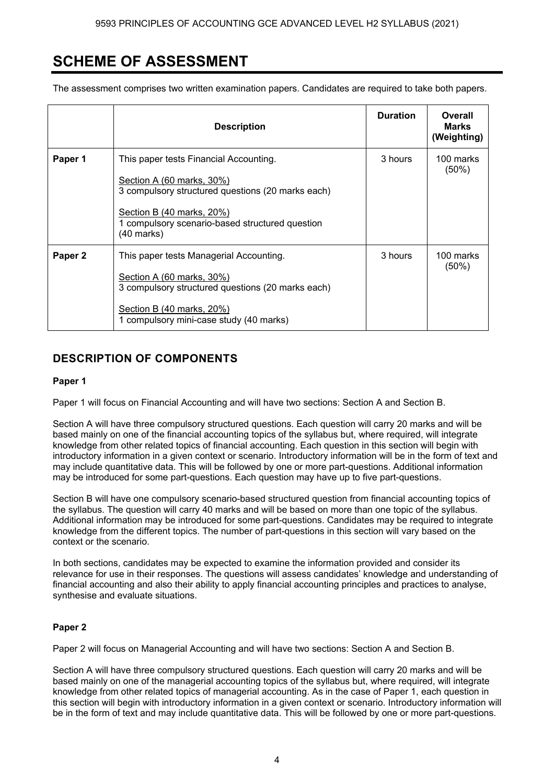### **SCHEME OF ASSESSMENT**

The assessment comprises two written examination papers. Candidates are required to take both papers.

|         | <b>Description</b>                                                                                                                                                                                                     | <b>Duration</b> | Overall<br><b>Marks</b><br>(Weighting) |
|---------|------------------------------------------------------------------------------------------------------------------------------------------------------------------------------------------------------------------------|-----------------|----------------------------------------|
| Paper 1 | This paper tests Financial Accounting.<br>Section A (60 marks, 30%)<br>3 compulsory structured questions (20 marks each)<br>Section B (40 marks, 20%)<br>1 compulsory scenario-based structured question<br>(40 marks) | 3 hours         | 100 marks<br>$(50\%)$                  |
| Paper 2 | This paper tests Managerial Accounting.<br><u>Section A (60 marks, 30%)</u><br>3 compulsory structured questions (20 marks each)<br>Section B (40 marks, 20%)<br>1 compulsory mini-case study (40 marks)               | 3 hours         | 100 marks<br>$(50\%)$                  |

### **DESCRIPTION OF COMPONENTS**

#### **Paper 1**

Paper 1 will focus on Financial Accounting and will have two sections: Section A and Section B.

Section A will have three compulsory structured questions. Each question will carry 20 marks and will be based mainly on one of the financial accounting topics of the syllabus but, where required, will integrate knowledge from other related topics of financial accounting. Each question in this section will begin with introductory information in a given context or scenario. Introductory information will be in the form of text and may include quantitative data. This will be followed by one or more part-questions. Additional information may be introduced for some part-questions. Each question may have up to five part-questions.

Section B will have one compulsory scenario-based structured question from financial accounting topics of the syllabus. The question will carry 40 marks and will be based on more than one topic of the syllabus. Additional information may be introduced for some part-questions. Candidates may be required to integrate knowledge from the different topics. The number of part-questions in this section will vary based on the context or the scenario.

In both sections, candidates may be expected to examine the information provided and consider its relevance for use in their responses. The questions will assess candidates' knowledge and understanding of financial accounting and also their ability to apply financial accounting principles and practices to analyse, synthesise and evaluate situations.

#### **Paper 2**

Paper 2 will focus on Managerial Accounting and will have two sections: Section A and Section B.

Section A will have three compulsory structured questions. Each question will carry 20 marks and will be based mainly on one of the managerial accounting topics of the syllabus but, where required, will integrate knowledge from other related topics of managerial accounting. As in the case of Paper 1, each question in this section will begin with introductory information in a given context or scenario. Introductory information will be in the form of text and may include quantitative data. This will be followed by one or more part-questions.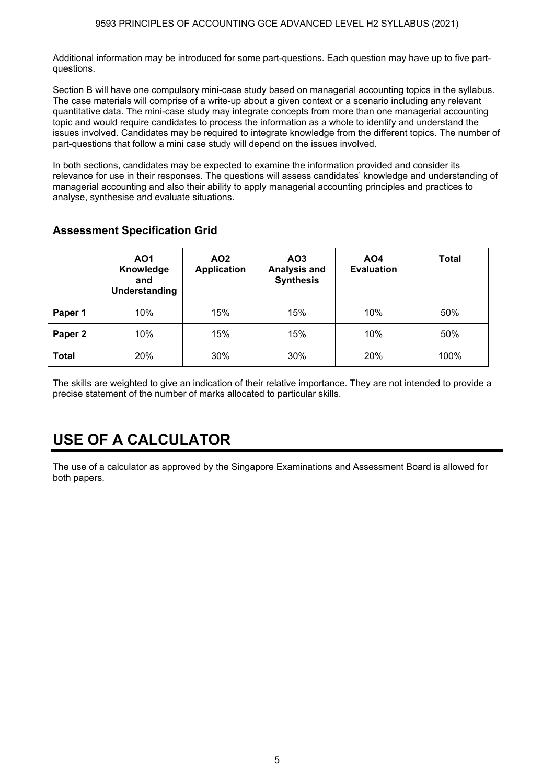Additional information may be introduced for some part-questions. Each question may have up to five partquestions.

Section B will have one compulsory mini-case study based on managerial accounting topics in the syllabus. The case materials will comprise of a write-up about a given context or a scenario including any relevant quantitative data. The mini-case study may integrate concepts from more than one managerial accounting topic and would require candidates to process the information as a whole to identify and understand the issues involved. Candidates may be required to integrate knowledge from the different topics. The number of part-questions that follow a mini case study will depend on the issues involved.

In both sections, candidates may be expected to examine the information provided and consider its relevance for use in their responses. The questions will assess candidates' knowledge and understanding of managerial accounting and also their ability to apply managerial accounting principles and practices to analyse, synthesise and evaluate situations.

|                    | AO1<br>Knowledge<br>and<br>Understanding | AO <sub>2</sub><br>Application | AO3<br><b>Analysis and</b><br><b>Synthesis</b> | AO <sub>4</sub><br><b>Evaluation</b> | <b>Total</b> |  |
|--------------------|------------------------------------------|--------------------------------|------------------------------------------------|--------------------------------------|--------------|--|
| Paper 1            | 10%                                      | 15%                            | 15%                                            | 10%                                  | 50%          |  |
| Paper <sub>2</sub> | 10%                                      | 15%                            | 15%                                            | 10%                                  | 50%          |  |

### **Assessment Specification Grid**

The skills are weighted to give an indication of their relative importance. They are not intended to provide a precise statement of the number of marks allocated to particular skills.

**Total** 20% 30% 30% 20% 100%

## **USE OF A CALCULATOR**

The use of a calculator as approved by the Singapore Examinations and Assessment Board is allowed for both papers.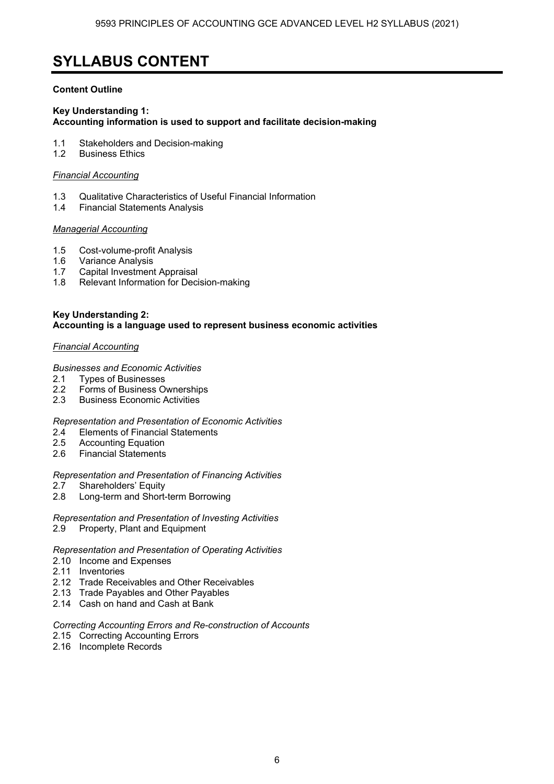### **SYLLABUS CONTENT**

#### **Content Outline**

#### **Key Understanding 1: Accounting information is used to support and facilitate decision-making**

- 1.1 Stakeholders and Decision-making
- 1.2 Business Ethics

#### *Financial Accounting*

- 1.3 Qualitative Characteristics of Useful Financial Information
- 1.4 Financial Statements Analysis

#### *Managerial Accounting*

- 1.5 Cost-volume-profit Analysis
- 1.6 Variance Analysis
- 1.7 Capital Investment Appraisal
- 1.8 Relevant Information for Decision-making

#### **Key Understanding 2: Accounting is a language used to represent business economic activities**

#### *Financial Accounting*

#### *Businesses and Economic Activities*

- 2.1 Types of Businesses
- 2.2 Forms of Business Ownerships
- 2.3 Business Economic Activities

#### *Representation and Presentation of Economic Activities*

- 2.4 Elements of Financial Statements<br>2.5 Accounting Equation
- **Accounting Equation**
- 2.6 Financial Statements

#### *Representation and Presentation of Financing Activities*

- 2.7 Shareholders' Equity
- 2.8 Long-term and Short-term Borrowing
- *Representation and Presentation of Investing Activities*
- 2.9 Property, Plant and Equipment

#### *Representation and Presentation of Operating Activities*

- 2.10 Income and Expenses
- 2.11 Inventories
- 2.12 Trade Receivables and Other Receivables
- 2.13 Trade Payables and Other Payables
- 2.14 Cash on hand and Cash at Bank

#### *Correcting Accounting Errors and Re-construction of Accounts*

- 2.15 Correcting Accounting Errors
- 2.16 Incomplete Records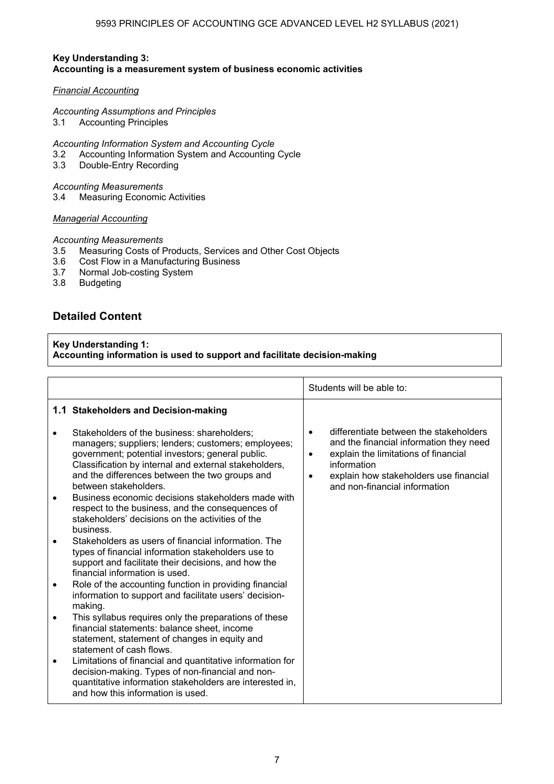#### **Key Understanding 3: Accounting is a measurement system of business economic activities**

#### *Financial Accounting*

#### *Accounting Assumptions and Principles*

3.1 Accounting Principles

*Accounting Information System and Accounting Cycle* 

- 3.2 Accounting Information System and Accounting Cycle
- 3.3 Double-Entry Recording

#### *Accounting Measurements*

3.4 Measuring Economic Activities

#### *Managerial Accounting*

#### *Accounting Measurements*

- 3.5 Measuring Costs of Products, Services and Other Cost Objects
- 3.6 Cost Flow in a Manufacturing Business
- 3.7 Normal Job-costing System<br>3.8 Budgeting

**Budgeting** 

### **Detailed Content**

#### **Key Understanding 1: Accounting information is used to support and facilitate decision-making**

|                                                                                                                                                                                                                                                                                                                                                  |                     | Students will be able to:                                                                                                                                                                                           |
|--------------------------------------------------------------------------------------------------------------------------------------------------------------------------------------------------------------------------------------------------------------------------------------------------------------------------------------------------|---------------------|---------------------------------------------------------------------------------------------------------------------------------------------------------------------------------------------------------------------|
| 1.1 Stakeholders and Decision-making                                                                                                                                                                                                                                                                                                             |                     |                                                                                                                                                                                                                     |
| Stakeholders of the business: shareholders:<br>managers; suppliers; lenders; customers; employees;<br>government; potential investors; general public.<br>Classification by internal and external stakeholders,<br>and the differences between the two groups and<br>between stakeholders.<br>Business economic decisions stakeholders made with | ٠<br>$\bullet$<br>٠ | differentiate between the stakeholders<br>and the financial information they need<br>explain the limitations of financial<br>information<br>explain how stakeholders use financial<br>and non-financial information |
| respect to the business, and the consequences of<br>stakeholders' decisions on the activities of the<br>business.                                                                                                                                                                                                                                |                     |                                                                                                                                                                                                                     |
| Stakeholders as users of financial information. The<br>types of financial information stakeholders use to<br>support and facilitate their decisions, and how the<br>financial information is used.                                                                                                                                               |                     |                                                                                                                                                                                                                     |
| Role of the accounting function in providing financial<br>information to support and facilitate users' decision-<br>making.                                                                                                                                                                                                                      |                     |                                                                                                                                                                                                                     |
| This syllabus requires only the preparations of these<br>financial statements: balance sheet, income<br>statement, statement of changes in equity and<br>statement of cash flows.                                                                                                                                                                |                     |                                                                                                                                                                                                                     |
| Limitations of financial and quantitative information for<br>decision-making. Types of non-financial and non-<br>quantitative information stakeholders are interested in,<br>and how this information is used.                                                                                                                                   |                     |                                                                                                                                                                                                                     |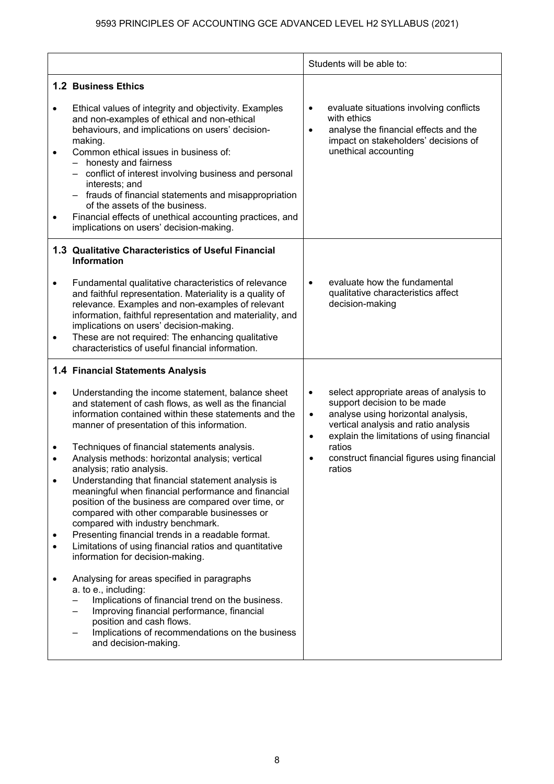|                |                                                                                                                                                                                                                                                                                                                                                                                                                                                                                                                                                                                                                                                                                                                                                                                                                                                                                                                                                                                                                                                                                     | Students will be able to:                                                                                                                                                                                                                                                                                                 |
|----------------|-------------------------------------------------------------------------------------------------------------------------------------------------------------------------------------------------------------------------------------------------------------------------------------------------------------------------------------------------------------------------------------------------------------------------------------------------------------------------------------------------------------------------------------------------------------------------------------------------------------------------------------------------------------------------------------------------------------------------------------------------------------------------------------------------------------------------------------------------------------------------------------------------------------------------------------------------------------------------------------------------------------------------------------------------------------------------------------|---------------------------------------------------------------------------------------------------------------------------------------------------------------------------------------------------------------------------------------------------------------------------------------------------------------------------|
| $\bullet$      | <b>1.2 Business Ethics</b><br>Ethical values of integrity and objectivity. Examples<br>and non-examples of ethical and non-ethical<br>behaviours, and implications on users' decision-<br>making.<br>Common ethical issues in business of:<br>honesty and fairness<br>- conflict of interest involving business and personal<br>interests; and<br>- frauds of financial statements and misappropriation<br>of the assets of the business.<br>Financial effects of unethical accounting practices, and<br>implications on users' decision-making.                                                                                                                                                                                                                                                                                                                                                                                                                                                                                                                                    | evaluate situations involving conflicts<br>$\bullet$<br>with ethics<br>analyse the financial effects and the<br>$\bullet$<br>impact on stakeholders' decisions of<br>unethical accounting                                                                                                                                 |
| $\bullet$<br>٠ | 1.3 Qualitative Characteristics of Useful Financial<br><b>Information</b><br>Fundamental qualitative characteristics of relevance<br>and faithful representation. Materiality is a quality of<br>relevance. Examples and non-examples of relevant<br>information, faithful representation and materiality, and<br>implications on users' decision-making.<br>These are not required: The enhancing qualitative<br>characteristics of useful financial information.                                                                                                                                                                                                                                                                                                                                                                                                                                                                                                                                                                                                                  | evaluate how the fundamental<br>$\bullet$<br>qualitative characteristics affect<br>decision-making                                                                                                                                                                                                                        |
|                | 1.4 Financial Statements Analysis<br>Understanding the income statement, balance sheet<br>and statement of cash flows, as well as the financial<br>information contained within these statements and the<br>manner of presentation of this information.<br>Techniques of financial statements analysis.<br>Analysis methods: horizontal analysis; vertical<br>analysis; ratio analysis.<br>Understanding that financial statement analysis is<br>meaningful when financial performance and financial<br>position of the business are compared over time, or<br>compared with other comparable businesses or<br>compared with industry benchmark.<br>Presenting financial trends in a readable format.<br>Limitations of using financial ratios and quantitative<br>information for decision-making.<br>Analysing for areas specified in paragraphs<br>a. to e., including:<br>Implications of financial trend on the business.<br>Improving financial performance, financial<br>position and cash flows.<br>Implications of recommendations on the business<br>and decision-making. | select appropriate areas of analysis to<br>$\bullet$<br>support decision to be made<br>analyse using horizontal analysis,<br>$\bullet$<br>vertical analysis and ratio analysis<br>explain the limitations of using financial<br>$\bullet$<br>ratios<br>construct financial figures using financial<br>$\bullet$<br>ratios |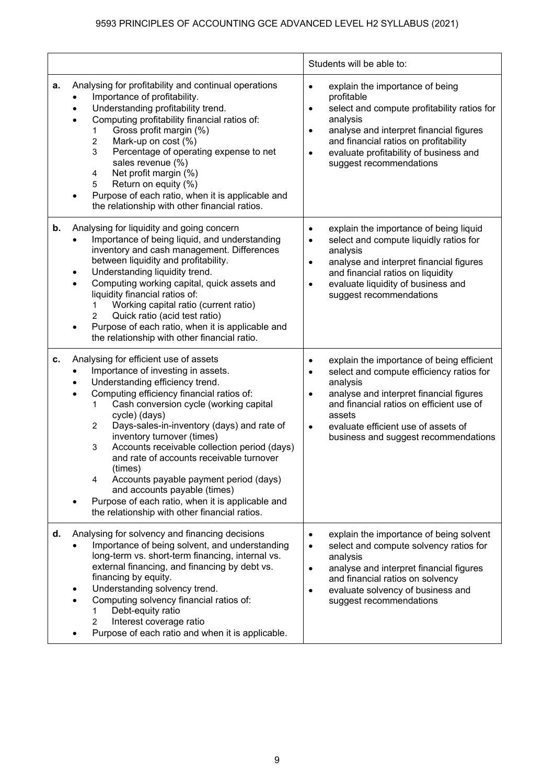|    |                                                                                                                                                                                                                                                                                                                                                                                                                                                                                                                                                                                                                           | Students will be able to:                                                                                                                                                                                                                                                                                                             |
|----|---------------------------------------------------------------------------------------------------------------------------------------------------------------------------------------------------------------------------------------------------------------------------------------------------------------------------------------------------------------------------------------------------------------------------------------------------------------------------------------------------------------------------------------------------------------------------------------------------------------------------|---------------------------------------------------------------------------------------------------------------------------------------------------------------------------------------------------------------------------------------------------------------------------------------------------------------------------------------|
| a. | Analysing for profitability and continual operations<br>Importance of profitability.<br>Understanding profitability trend.<br>Computing profitability financial ratios of:<br>Gross profit margin (%)<br>1<br>2<br>Mark-up on cost (%)<br>3<br>Percentage of operating expense to net<br>sales revenue (%)<br>Net profit margin (%)<br>$\overline{\mathbf{4}}$<br>Return on equity (%)<br>5<br>Purpose of each ratio, when it is applicable and<br>the relationship with other financial ratios.                                                                                                                          | explain the importance of being<br>$\bullet$<br>profitable<br>select and compute profitability ratios for<br>$\bullet$<br>analysis<br>analyse and interpret financial figures<br>$\bullet$<br>and financial ratios on profitability<br>evaluate profitability of business and<br>$\bullet$<br>suggest recommendations                 |
| b. | Analysing for liquidity and going concern<br>Importance of being liquid, and understanding<br>inventory and cash management. Differences<br>between liquidity and profitability.<br>Understanding liquidity trend.<br>Computing working capital, quick assets and<br>liquidity financial ratios of:<br>Working capital ratio (current ratio)<br>1.<br>Quick ratio (acid test ratio)<br>$\overline{2}$<br>Purpose of each ratio, when it is applicable and<br>٠<br>the relationship with other financial ratio.                                                                                                            | explain the importance of being liquid<br>$\bullet$<br>select and compute liquidly ratios for<br>$\bullet$<br>analysis<br>analyse and interpret financial figures<br>$\bullet$<br>and financial ratios on liquidity<br>evaluate liquidity of business and<br>$\bullet$<br>suggest recommendations                                     |
| с. | Analysing for efficient use of assets<br>Importance of investing in assets.<br>Understanding efficiency trend.<br>Computing efficiency financial ratios of:<br>Cash conversion cycle (working capital<br>1<br>cycle) (days)<br>Days-sales-in-inventory (days) and rate of<br>$\overline{2}$<br>inventory turnover (times)<br>Accounts receivable collection period (days)<br>3<br>and rate of accounts receivable turnover<br>(times)<br>Accounts payable payment period (days)<br>4<br>and accounts payable (times)<br>Purpose of each ratio, when it is applicable and<br>the relationship with other financial ratios. | explain the importance of being efficient<br>$\bullet$<br>select and compute efficiency ratios for<br>$\bullet$<br>analysis<br>analyse and interpret financial figures<br>$\bullet$<br>and financial ratios on efficient use of<br>assets<br>evaluate efficient use of assets of<br>$\bullet$<br>business and suggest recommendations |
| d. | Analysing for solvency and financing decisions<br>Importance of being solvent, and understanding<br>long-term vs. short-term financing, internal vs.<br>external financing, and financing by debt vs.<br>financing by equity.<br>Understanding solvency trend.<br>Computing solvency financial ratios of:<br>Debt-equity ratio<br>1<br>Interest coverage ratio<br>2<br>Purpose of each ratio and when it is applicable.                                                                                                                                                                                                   | explain the importance of being solvent<br>$\bullet$<br>select and compute solvency ratios for<br>$\bullet$<br>analysis<br>analyse and interpret financial figures<br>$\bullet$<br>and financial ratios on solvency<br>evaluate solvency of business and<br>$\bullet$<br>suggest recommendations                                      |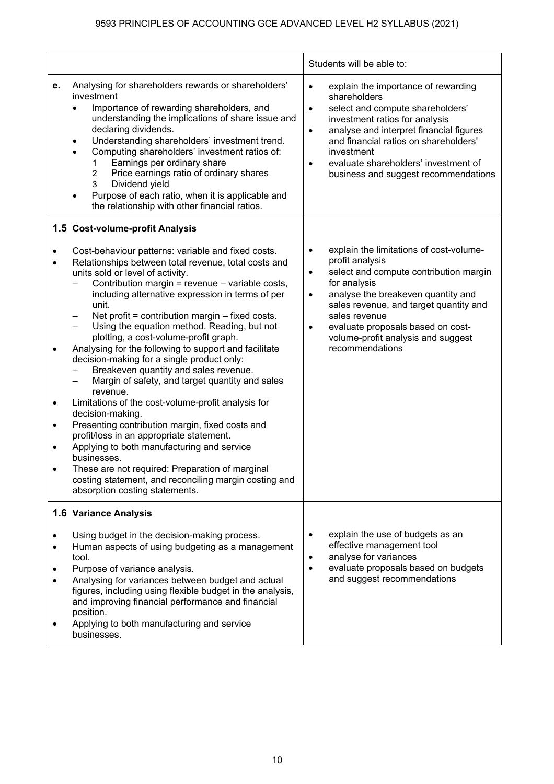|             |                                                                                                                                                                                                                                                                                                                                                                                                                                                                                                                                                                                                                                                                                                                                                                                                                                                                                                                                                                                                                | Students will be able to:                                                                                                                                                                                                                                                                                                                                       |
|-------------|----------------------------------------------------------------------------------------------------------------------------------------------------------------------------------------------------------------------------------------------------------------------------------------------------------------------------------------------------------------------------------------------------------------------------------------------------------------------------------------------------------------------------------------------------------------------------------------------------------------------------------------------------------------------------------------------------------------------------------------------------------------------------------------------------------------------------------------------------------------------------------------------------------------------------------------------------------------------------------------------------------------|-----------------------------------------------------------------------------------------------------------------------------------------------------------------------------------------------------------------------------------------------------------------------------------------------------------------------------------------------------------------|
| е.          | Analysing for shareholders rewards or shareholders'<br>investment<br>Importance of rewarding shareholders, and<br>understanding the implications of share issue and<br>declaring dividends.<br>Understanding shareholders' investment trend.<br>$\bullet$<br>Computing shareholders' investment ratios of:<br>$\bullet$<br>Earnings per ordinary share<br>1<br>$\overline{2}$<br>Price earnings ratio of ordinary shares<br>3<br>Dividend yield<br>Purpose of each ratio, when it is applicable and<br>the relationship with other financial ratios.                                                                                                                                                                                                                                                                                                                                                                                                                                                           | explain the importance of rewarding<br>$\bullet$<br>shareholders<br>select and compute shareholders'<br>$\bullet$<br>investment ratios for analysis<br>analyse and interpret financial figures<br>$\bullet$<br>and financial ratios on shareholders'<br>investment<br>evaluate shareholders' investment of<br>business and suggest recommendations              |
|             | 1.5 Cost-volume-profit Analysis                                                                                                                                                                                                                                                                                                                                                                                                                                                                                                                                                                                                                                                                                                                                                                                                                                                                                                                                                                                |                                                                                                                                                                                                                                                                                                                                                                 |
| ٠<br>٠<br>٠ | Cost-behaviour patterns: variable and fixed costs.<br>Relationships between total revenue, total costs and<br>units sold or level of activity.<br>Contribution margin = revenue - variable costs,<br>including alternative expression in terms of per<br>unit.<br>Net profit = contribution margin $-$ fixed costs.<br>Using the equation method. Reading, but not<br>plotting, a cost-volume-profit graph.<br>Analysing for the following to support and facilitate<br>decision-making for a single product only:<br>Breakeven quantity and sales revenue.<br>Margin of safety, and target quantity and sales<br>revenue.<br>Limitations of the cost-volume-profit analysis for<br>decision-making.<br>Presenting contribution margin, fixed costs and<br>profit/loss in an appropriate statement.<br>Applying to both manufacturing and service<br>businesses.<br>These are not required: Preparation of marginal<br>costing statement, and reconciling margin costing and<br>absorption costing statements. | explain the limitations of cost-volume-<br>$\bullet$<br>profit analysis<br>select and compute contribution margin<br>$\bullet$<br>for analysis<br>analyse the breakeven quantity and<br>$\bullet$<br>sales revenue, and target quantity and<br>sales revenue<br>evaluate proposals based on cost-<br>٠<br>volume-profit analysis and suggest<br>recommendations |
|             | 1.6 Variance Analysis                                                                                                                                                                                                                                                                                                                                                                                                                                                                                                                                                                                                                                                                                                                                                                                                                                                                                                                                                                                          |                                                                                                                                                                                                                                                                                                                                                                 |
|             | Using budget in the decision-making process.<br>Human aspects of using budgeting as a management<br>tool.<br>Purpose of variance analysis.<br>Analysing for variances between budget and actual<br>figures, including using flexible budget in the analysis,<br>and improving financial performance and financial<br>position.<br>Applying to both manufacturing and service<br>businesses.                                                                                                                                                                                                                                                                                                                                                                                                                                                                                                                                                                                                                    | explain the use of budgets as an<br>٠<br>effective management tool<br>analyse for variances<br>$\bullet$<br>evaluate proposals based on budgets<br>$\bullet$<br>and suggest recommendations                                                                                                                                                                     |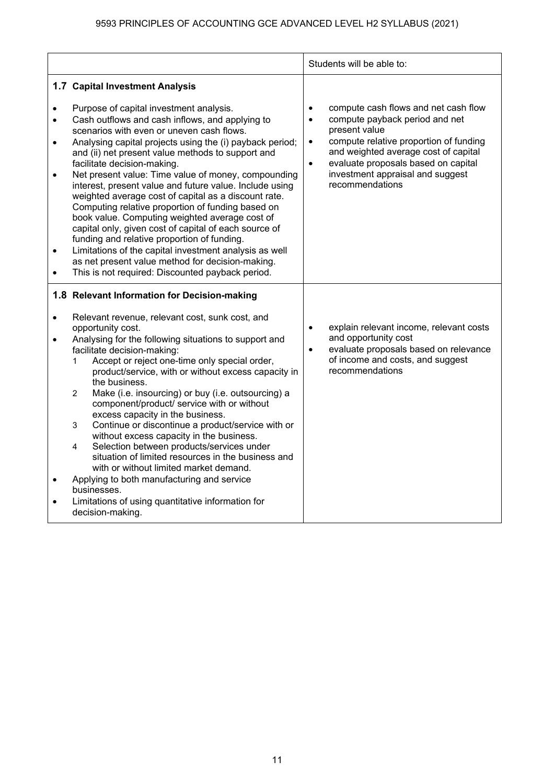|                                                               |                                                                                                                                                                                                                                                                                                                                                                                                                                                                                                                                                                                                                                                                                                                                                                                                                                                              | Students will be able to:                                                                                                                                                                                                                                                                                                   |
|---------------------------------------------------------------|--------------------------------------------------------------------------------------------------------------------------------------------------------------------------------------------------------------------------------------------------------------------------------------------------------------------------------------------------------------------------------------------------------------------------------------------------------------------------------------------------------------------------------------------------------------------------------------------------------------------------------------------------------------------------------------------------------------------------------------------------------------------------------------------------------------------------------------------------------------|-----------------------------------------------------------------------------------------------------------------------------------------------------------------------------------------------------------------------------------------------------------------------------------------------------------------------------|
|                                                               | 1.7 Capital Investment Analysis                                                                                                                                                                                                                                                                                                                                                                                                                                                                                                                                                                                                                                                                                                                                                                                                                              |                                                                                                                                                                                                                                                                                                                             |
| $\bullet$<br>$\bullet$<br>$\bullet$<br>$\bullet$<br>$\bullet$ | Purpose of capital investment analysis.<br>Cash outflows and cash inflows, and applying to<br>scenarios with even or uneven cash flows.<br>Analysing capital projects using the (i) payback period;<br>and (ii) net present value methods to support and<br>facilitate decision-making.<br>Net present value: Time value of money, compounding<br>interest, present value and future value. Include using<br>weighted average cost of capital as a discount rate.<br>Computing relative proportion of funding based on<br>book value. Computing weighted average cost of<br>capital only, given cost of capital of each source of<br>funding and relative proportion of funding.<br>Limitations of the capital investment analysis as well<br>as net present value method for decision-making.<br>This is not required: Discounted payback period.           | compute cash flows and net cash flow<br>$\bullet$<br>compute payback period and net<br>$\bullet$<br>present value<br>compute relative proportion of funding<br>$\bullet$<br>and weighted average cost of capital<br>evaluate proposals based on capital<br>$\bullet$<br>investment appraisal and suggest<br>recommendations |
|                                                               | 1.8 Relevant Information for Decision-making                                                                                                                                                                                                                                                                                                                                                                                                                                                                                                                                                                                                                                                                                                                                                                                                                 |                                                                                                                                                                                                                                                                                                                             |
| $\bullet$<br>$\bullet$<br>$\bullet$                           | Relevant revenue, relevant cost, sunk cost, and<br>opportunity cost.<br>Analysing for the following situations to support and<br>facilitate decision-making:<br>Accept or reject one-time only special order,<br>$\mathbf 1$<br>product/service, with or without excess capacity in<br>the business.<br>$\overline{2}$<br>Make (i.e. insourcing) or buy (i.e. outsourcing) a<br>component/product/ service with or without<br>excess capacity in the business.<br>Continue or discontinue a product/service with or<br>3<br>without excess capacity in the business.<br>Selection between products/services under<br>4<br>situation of limited resources in the business and<br>with or without limited market demand.<br>Applying to both manufacturing and service<br>businesses.<br>Limitations of using quantitative information for<br>decision-making. | explain relevant income, relevant costs<br>$\bullet$<br>and opportunity cost<br>evaluate proposals based on relevance<br>$\bullet$<br>of income and costs, and suggest<br>recommendations                                                                                                                                   |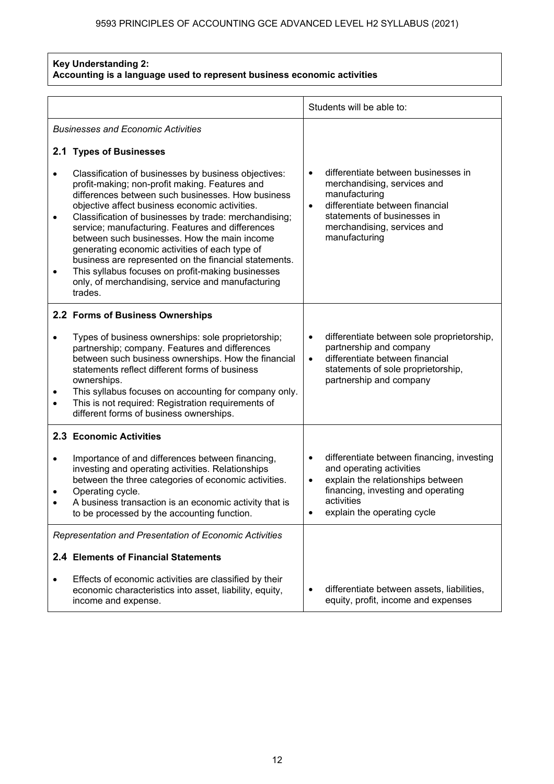#### **Key Understanding 2: Accounting is a language used to represent business economic activities**

|           |                                                                                                                                                                                                                                                                                                                                                                                                                                                                                                                                                                                                            |                        | Students will be able to:                                                                                                                                                                             |
|-----------|------------------------------------------------------------------------------------------------------------------------------------------------------------------------------------------------------------------------------------------------------------------------------------------------------------------------------------------------------------------------------------------------------------------------------------------------------------------------------------------------------------------------------------------------------------------------------------------------------------|------------------------|-------------------------------------------------------------------------------------------------------------------------------------------------------------------------------------------------------|
|           | <b>Businesses and Economic Activities</b>                                                                                                                                                                                                                                                                                                                                                                                                                                                                                                                                                                  |                        |                                                                                                                                                                                                       |
|           | 2.1 Types of Businesses                                                                                                                                                                                                                                                                                                                                                                                                                                                                                                                                                                                    |                        |                                                                                                                                                                                                       |
| $\bullet$ | Classification of businesses by business objectives:<br>profit-making; non-profit making. Features and<br>differences between such businesses. How business<br>objective affect business economic activities.<br>Classification of businesses by trade: merchandising;<br>service; manufacturing. Features and differences<br>between such businesses. How the main income<br>generating economic activities of each type of<br>business are represented on the financial statements.<br>This syllabus focuses on profit-making businesses<br>only, of merchandising, service and manufacturing<br>trades. | $\bullet$              | differentiate between businesses in<br>merchandising, services and<br>manufacturing<br>differentiate between financial<br>statements of businesses in<br>merchandising, services and<br>manufacturing |
|           | 2.2 Forms of Business Ownerships                                                                                                                                                                                                                                                                                                                                                                                                                                                                                                                                                                           |                        |                                                                                                                                                                                                       |
| $\bullet$ | Types of business ownerships: sole proprietorship;<br>partnership; company. Features and differences<br>between such business ownerships. How the financial<br>statements reflect different forms of business<br>ownerships.<br>This syllabus focuses on accounting for company only.<br>This is not required: Registration requirements of<br>different forms of business ownerships.                                                                                                                                                                                                                     | $\bullet$<br>$\bullet$ | differentiate between sole proprietorship,<br>partnership and company<br>differentiate between financial<br>statements of sole proprietorship,<br>partnership and company                             |
|           | 2.3 Economic Activities                                                                                                                                                                                                                                                                                                                                                                                                                                                                                                                                                                                    |                        |                                                                                                                                                                                                       |
| $\bullet$ | Importance of and differences between financing,<br>investing and operating activities. Relationships<br>between the three categories of economic activities.<br>Operating cycle.<br>A business transaction is an economic activity that is<br>to be processed by the accounting function.                                                                                                                                                                                                                                                                                                                 |                        | differentiate between financing, investing<br>and operating activities<br>explain the relationships between<br>financing, investing and operating<br>activities<br>explain the operating cycle        |
|           | Representation and Presentation of Economic Activities                                                                                                                                                                                                                                                                                                                                                                                                                                                                                                                                                     |                        |                                                                                                                                                                                                       |
|           | 2.4 Elements of Financial Statements                                                                                                                                                                                                                                                                                                                                                                                                                                                                                                                                                                       |                        |                                                                                                                                                                                                       |
| ٠         | Effects of economic activities are classified by their<br>economic characteristics into asset, liability, equity,<br>income and expense.                                                                                                                                                                                                                                                                                                                                                                                                                                                                   |                        | differentiate between assets, liabilities,<br>equity, profit, income and expenses                                                                                                                     |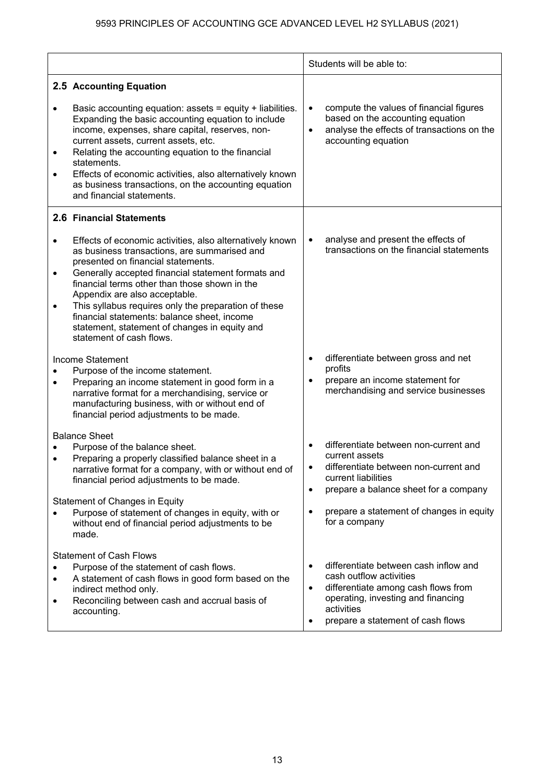|                |                                                                                                                                                                                                                                                                                                                                                                                                                                                            |           | Students will be able to:                                                                                                                                                                        |
|----------------|------------------------------------------------------------------------------------------------------------------------------------------------------------------------------------------------------------------------------------------------------------------------------------------------------------------------------------------------------------------------------------------------------------------------------------------------------------|-----------|--------------------------------------------------------------------------------------------------------------------------------------------------------------------------------------------------|
| ٠              | 2.5 Accounting Equation<br>Basic accounting equation: assets = equity + liabilities.<br>Expanding the basic accounting equation to include<br>income, expenses, share capital, reserves, non-<br>current assets, current assets, etc.<br>Relating the accounting equation to the financial<br>statements.<br>Effects of economic activities, also alternatively known<br>as business transactions, on the accounting equation<br>and financial statements. | $\bullet$ | compute the values of financial figures<br>based on the accounting equation<br>analyse the effects of transactions on the<br>accounting equation                                                 |
| $\bullet$      | 2.6 Financial Statements<br>Effects of economic activities, also alternatively known<br>as business transactions, are summarised and                                                                                                                                                                                                                                                                                                                       | $\bullet$ | analyse and present the effects of<br>transactions on the financial statements                                                                                                                   |
| $\bullet$      | presented on financial statements.<br>Generally accepted financial statement formats and<br>financial terms other than those shown in the<br>Appendix are also acceptable.                                                                                                                                                                                                                                                                                 |           |                                                                                                                                                                                                  |
| ٠              | This syllabus requires only the preparation of these<br>financial statements: balance sheet, income<br>statement, statement of changes in equity and<br>statement of cash flows.                                                                                                                                                                                                                                                                           |           |                                                                                                                                                                                                  |
|                | Income Statement<br>Purpose of the income statement.<br>Preparing an income statement in good form in a<br>narrative format for a merchandising, service or<br>manufacturing business, with or without end of<br>financial period adjustments to be made.                                                                                                                                                                                                  | ٠         | differentiate between gross and net<br>profits<br>prepare an income statement for<br>merchandising and service businesses                                                                        |
|                | <b>Balance Sheet</b>                                                                                                                                                                                                                                                                                                                                                                                                                                       | $\bullet$ | differentiate between non-current and                                                                                                                                                            |
|                | Purpose of the balance sheet.<br>Preparing a properly classified balance sheet in a<br>narrative format for a company, with or without end of<br>financial period adjustments to be made.                                                                                                                                                                                                                                                                  | ٠         | current assets<br>differentiate between non-current and<br>current liabilities<br>prepare a balance sheet for a company                                                                          |
|                | Statement of Changes in Equity<br>Purpose of statement of changes in equity, with or<br>without end of financial period adjustments to be<br>made.                                                                                                                                                                                                                                                                                                         | $\bullet$ | prepare a statement of changes in equity<br>for a company                                                                                                                                        |
| $\bullet$<br>٠ | <b>Statement of Cash Flows</b><br>Purpose of the statement of cash flows.<br>A statement of cash flows in good form based on the<br>indirect method only.<br>Reconciling between cash and accrual basis of<br>accounting.                                                                                                                                                                                                                                  | ٠         | differentiate between cash inflow and<br>cash outflow activities<br>differentiate among cash flows from<br>operating, investing and financing<br>activities<br>prepare a statement of cash flows |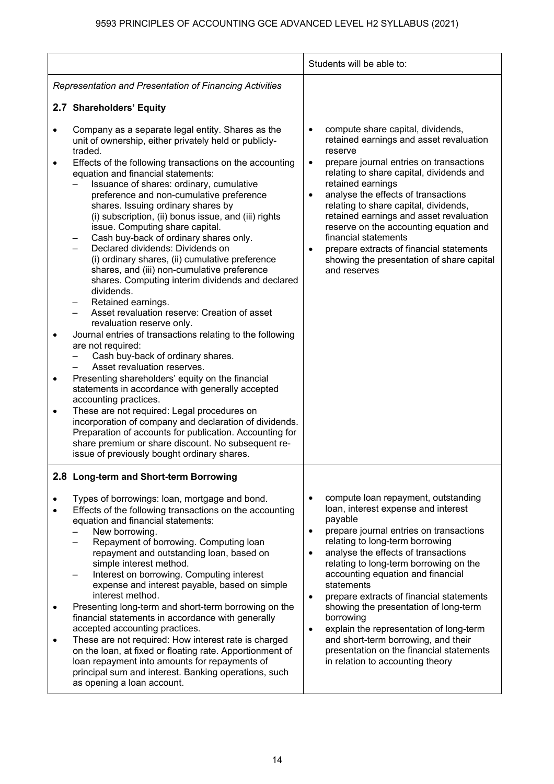|                                                       |                                                                                                                                                                                                                                                                                                                                                                                                                                                                                                                                                                                                                                                                                                                                                                                                                                                                                                                                                                                                                                                                                                                                                                                                                                                                                                                                                                      | Students will be able to:                                                                                                                                                                                                                                                                                                                                                                                                                                                                                                                                                                                                                    |
|-------------------------------------------------------|----------------------------------------------------------------------------------------------------------------------------------------------------------------------------------------------------------------------------------------------------------------------------------------------------------------------------------------------------------------------------------------------------------------------------------------------------------------------------------------------------------------------------------------------------------------------------------------------------------------------------------------------------------------------------------------------------------------------------------------------------------------------------------------------------------------------------------------------------------------------------------------------------------------------------------------------------------------------------------------------------------------------------------------------------------------------------------------------------------------------------------------------------------------------------------------------------------------------------------------------------------------------------------------------------------------------------------------------------------------------|----------------------------------------------------------------------------------------------------------------------------------------------------------------------------------------------------------------------------------------------------------------------------------------------------------------------------------------------------------------------------------------------------------------------------------------------------------------------------------------------------------------------------------------------------------------------------------------------------------------------------------------------|
|                                                       | Representation and Presentation of Financing Activities                                                                                                                                                                                                                                                                                                                                                                                                                                                                                                                                                                                                                                                                                                                                                                                                                                                                                                                                                                                                                                                                                                                                                                                                                                                                                                              |                                                                                                                                                                                                                                                                                                                                                                                                                                                                                                                                                                                                                                              |
|                                                       | 2.7 Shareholders' Equity                                                                                                                                                                                                                                                                                                                                                                                                                                                                                                                                                                                                                                                                                                                                                                                                                                                                                                                                                                                                                                                                                                                                                                                                                                                                                                                                             |                                                                                                                                                                                                                                                                                                                                                                                                                                                                                                                                                                                                                                              |
| $\bullet$<br>$\bullet$<br>$\bullet$<br>٠<br>$\bullet$ | Company as a separate legal entity. Shares as the<br>unit of ownership, either privately held or publicly-<br>traded.<br>Effects of the following transactions on the accounting<br>equation and financial statements:<br>Issuance of shares: ordinary, cumulative<br>preference and non-cumulative preference<br>shares. Issuing ordinary shares by<br>(i) subscription, (ii) bonus issue, and (iii) rights<br>issue. Computing share capital.<br>Cash buy-back of ordinary shares only.<br>Declared dividends: Dividends on<br>(i) ordinary shares, (ii) cumulative preference<br>shares, and (iii) non-cumulative preference<br>shares. Computing interim dividends and declared<br>dividends.<br>Retained earnings.<br>Asset revaluation reserve: Creation of asset<br>revaluation reserve only.<br>Journal entries of transactions relating to the following<br>are not required:<br>Cash buy-back of ordinary shares.<br>Asset revaluation reserves.<br>Presenting shareholders' equity on the financial<br>statements in accordance with generally accepted<br>accounting practices.<br>These are not required: Legal procedures on<br>incorporation of company and declaration of dividends.<br>Preparation of accounts for publication. Accounting for<br>share premium or share discount. No subsequent re-<br>issue of previously bought ordinary shares. | compute share capital, dividends,<br>$\bullet$<br>retained earnings and asset revaluation<br>reserve<br>prepare journal entries on transactions<br>$\bullet$<br>relating to share capital, dividends and<br>retained earnings<br>analyse the effects of transactions<br>$\bullet$<br>relating to share capital, dividends,<br>retained earnings and asset revaluation<br>reserve on the accounting equation and<br>financial statements<br>prepare extracts of financial statements<br>showing the presentation of share capital<br>and reserves                                                                                             |
| $\bullet$<br>$\bullet$<br>٠                           | 2.8 Long-term and Short-term Borrowing<br>Types of borrowings: loan, mortgage and bond.<br>Effects of the following transactions on the accounting<br>equation and financial statements:<br>New borrowing.<br>Repayment of borrowing. Computing loan<br>repayment and outstanding loan, based on<br>simple interest method.<br>Interest on borrowing. Computing interest<br>expense and interest payable, based on simple<br>interest method.<br>Presenting long-term and short-term borrowing on the<br>financial statements in accordance with generally<br>accepted accounting practices.<br>These are not required: How interest rate is charged<br>on the loan, at fixed or floating rate. Apportionment of<br>loan repayment into amounts for repayments of<br>principal sum and interest. Banking operations, such<br>as opening a loan account.                                                                                                                                                                                                                                                                                                                                                                                                                                                                                                              | compute loan repayment, outstanding<br>$\bullet$<br>loan, interest expense and interest<br>payable<br>prepare journal entries on transactions<br>$\bullet$<br>relating to long-term borrowing<br>analyse the effects of transactions<br>$\bullet$<br>relating to long-term borrowing on the<br>accounting equation and financial<br>statements<br>prepare extracts of financial statements<br>$\bullet$<br>showing the presentation of long-term<br>borrowing<br>explain the representation of long-term<br>$\bullet$<br>and short-term borrowing, and their<br>presentation on the financial statements<br>in relation to accounting theory |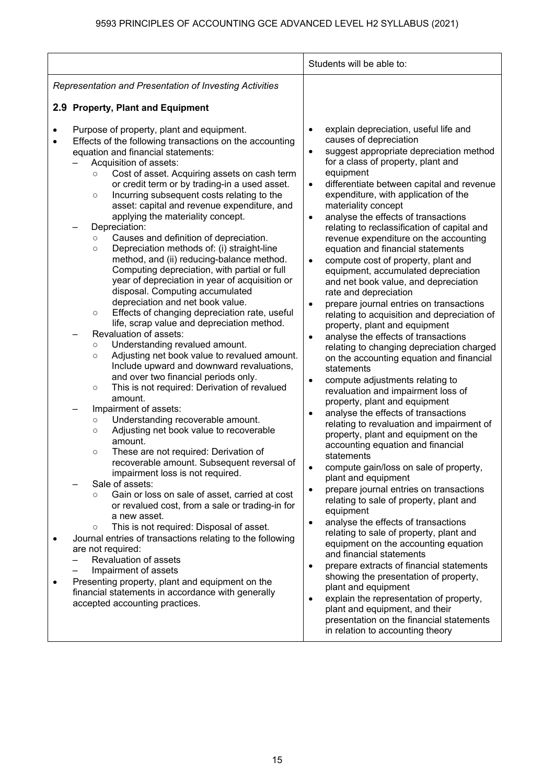|                                                                                                                                                                                                                                                                                                                                                                                                                                                                                                                                                                                                                                                                                                                                                                                                                                                                                                                                                                                                                                                                                                                                                                                                                                                                                                                                                                                                                                                                                                                                                                                                                                                                                                                                                                                                                                                                           | Students will be able to:                                                                                                                                                                                                                                                                                                                                                                                                                                                                                                                                                                                                                                                                                                                                                                                                                                                                                                                                                                                                                                                                                                                                                                                                                                                                                                                                                                                                                                                                                                                                                                                                                                                                                                                 |
|---------------------------------------------------------------------------------------------------------------------------------------------------------------------------------------------------------------------------------------------------------------------------------------------------------------------------------------------------------------------------------------------------------------------------------------------------------------------------------------------------------------------------------------------------------------------------------------------------------------------------------------------------------------------------------------------------------------------------------------------------------------------------------------------------------------------------------------------------------------------------------------------------------------------------------------------------------------------------------------------------------------------------------------------------------------------------------------------------------------------------------------------------------------------------------------------------------------------------------------------------------------------------------------------------------------------------------------------------------------------------------------------------------------------------------------------------------------------------------------------------------------------------------------------------------------------------------------------------------------------------------------------------------------------------------------------------------------------------------------------------------------------------------------------------------------------------------------------------------------------------|-------------------------------------------------------------------------------------------------------------------------------------------------------------------------------------------------------------------------------------------------------------------------------------------------------------------------------------------------------------------------------------------------------------------------------------------------------------------------------------------------------------------------------------------------------------------------------------------------------------------------------------------------------------------------------------------------------------------------------------------------------------------------------------------------------------------------------------------------------------------------------------------------------------------------------------------------------------------------------------------------------------------------------------------------------------------------------------------------------------------------------------------------------------------------------------------------------------------------------------------------------------------------------------------------------------------------------------------------------------------------------------------------------------------------------------------------------------------------------------------------------------------------------------------------------------------------------------------------------------------------------------------------------------------------------------------------------------------------------------------|
| Representation and Presentation of Investing Activities                                                                                                                                                                                                                                                                                                                                                                                                                                                                                                                                                                                                                                                                                                                                                                                                                                                                                                                                                                                                                                                                                                                                                                                                                                                                                                                                                                                                                                                                                                                                                                                                                                                                                                                                                                                                                   |                                                                                                                                                                                                                                                                                                                                                                                                                                                                                                                                                                                                                                                                                                                                                                                                                                                                                                                                                                                                                                                                                                                                                                                                                                                                                                                                                                                                                                                                                                                                                                                                                                                                                                                                           |
| 2.9 Property, Plant and Equipment                                                                                                                                                                                                                                                                                                                                                                                                                                                                                                                                                                                                                                                                                                                                                                                                                                                                                                                                                                                                                                                                                                                                                                                                                                                                                                                                                                                                                                                                                                                                                                                                                                                                                                                                                                                                                                         |                                                                                                                                                                                                                                                                                                                                                                                                                                                                                                                                                                                                                                                                                                                                                                                                                                                                                                                                                                                                                                                                                                                                                                                                                                                                                                                                                                                                                                                                                                                                                                                                                                                                                                                                           |
| Purpose of property, plant and equipment.<br>Effects of the following transactions on the accounting<br>equation and financial statements:<br>Acquisition of assets:<br>Cost of asset. Acquiring assets on cash term<br>$\circ$<br>or credit term or by trading-in a used asset.<br>Incurring subsequent costs relating to the<br>$\circ$<br>asset: capital and revenue expenditure, and<br>applying the materiality concept.<br>Depreciation:<br>Causes and definition of depreciation.<br>$\circ$<br>Depreciation methods of: (i) straight-line<br>$\circ$<br>method, and (ii) reducing-balance method.<br>Computing depreciation, with partial or full<br>year of depreciation in year of acquisition or<br>disposal. Computing accumulated<br>depreciation and net book value.<br>Effects of changing depreciation rate, useful<br>$\circ$<br>life, scrap value and depreciation method.<br>Revaluation of assets:<br>Understanding revalued amount.<br>$\circ$<br>Adjusting net book value to revalued amount.<br>$\circ$<br>Include upward and downward revaluations,<br>and over two financial periods only.<br>This is not required: Derivation of revalued<br>$\circ$<br>amount.<br>Impairment of assets:<br>Understanding recoverable amount.<br>$\circ$<br>Adjusting net book value to recoverable<br>$\circ$<br>amount.<br>These are not required: Derivation of<br>$\circ$<br>recoverable amount. Subsequent reversal of<br>impairment loss is not required.<br>Sale of assets:<br>Gain or loss on sale of asset, carried at cost<br>$\circ$<br>or revalued cost, from a sale or trading-in for<br>a new asset.<br>This is not required: Disposal of asset.<br>$\circ$<br>Journal entries of transactions relating to the following<br>are not required:<br>Revaluation of assets<br>Impairment of assets<br>Presenting property, plant and equipment on the | explain depreciation, useful life and<br>$\bullet$<br>causes of depreciation<br>suggest appropriate depreciation method<br>$\bullet$<br>for a class of property, plant and<br>equipment<br>differentiate between capital and revenue<br>$\bullet$<br>expenditure, with application of the<br>materiality concept<br>analyse the effects of transactions<br>$\bullet$<br>relating to reclassification of capital and<br>revenue expenditure on the accounting<br>equation and financial statements<br>compute cost of property, plant and<br>$\bullet$<br>equipment, accumulated depreciation<br>and net book value, and depreciation<br>rate and depreciation<br>prepare journal entries on transactions<br>$\bullet$<br>relating to acquisition and depreciation of<br>property, plant and equipment<br>analyse the effects of transactions<br>$\bullet$<br>relating to changing depreciation charged<br>on the accounting equation and financial<br>statements<br>compute adjustments relating to<br>$\bullet$<br>revaluation and impairment loss of<br>property, plant and equipment<br>analyse the effects of transactions<br>$\bullet$<br>relating to revaluation and impairment of<br>property, plant and equipment on the<br>accounting equation and financial<br>statements<br>compute gain/loss on sale of property,<br>plant and equipment<br>prepare journal entries on transactions<br>$\bullet$<br>relating to sale of property, plant and<br>equipment<br>analyse the effects of transactions<br>$\bullet$<br>relating to sale of property, plant and<br>equipment on the accounting equation<br>and financial statements<br>prepare extracts of financial statements<br>$\bullet$<br>showing the presentation of property, |
| financial statements in accordance with generally<br>accepted accounting practices.                                                                                                                                                                                                                                                                                                                                                                                                                                                                                                                                                                                                                                                                                                                                                                                                                                                                                                                                                                                                                                                                                                                                                                                                                                                                                                                                                                                                                                                                                                                                                                                                                                                                                                                                                                                       | plant and equipment<br>explain the representation of property,<br>$\bullet$<br>plant and equipment, and their<br>presentation on the financial statements<br>in relation to accounting theory                                                                                                                                                                                                                                                                                                                                                                                                                                                                                                                                                                                                                                                                                                                                                                                                                                                                                                                                                                                                                                                                                                                                                                                                                                                                                                                                                                                                                                                                                                                                             |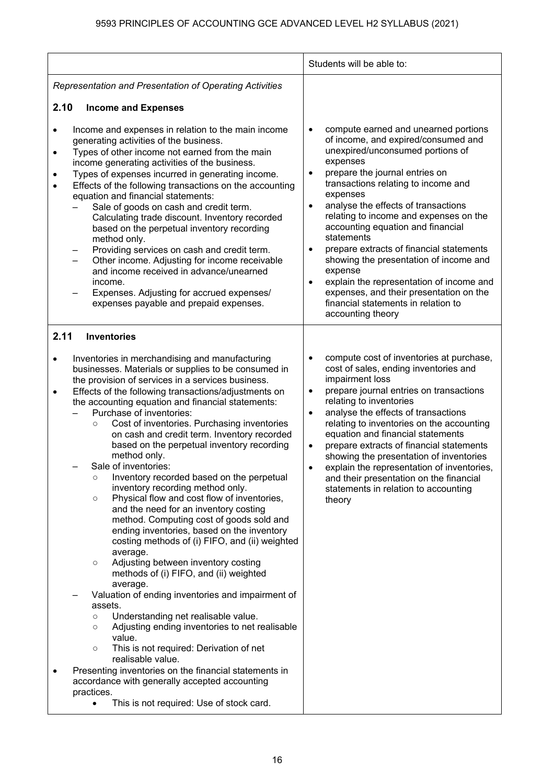|                             |                                                                                                                                                                                                                                                                                                                                                                                                                                                                                                                                                                                                                                                                                                                                                                                                                                                                                                                                                                                                                                                                                                                                                                                                                                                                                                                                                                                                           | Students will be able to:                                                                                                                                                                                                                                                                                                                                                                                                                                                                                                                                                                                                  |
|-----------------------------|-----------------------------------------------------------------------------------------------------------------------------------------------------------------------------------------------------------------------------------------------------------------------------------------------------------------------------------------------------------------------------------------------------------------------------------------------------------------------------------------------------------------------------------------------------------------------------------------------------------------------------------------------------------------------------------------------------------------------------------------------------------------------------------------------------------------------------------------------------------------------------------------------------------------------------------------------------------------------------------------------------------------------------------------------------------------------------------------------------------------------------------------------------------------------------------------------------------------------------------------------------------------------------------------------------------------------------------------------------------------------------------------------------------|----------------------------------------------------------------------------------------------------------------------------------------------------------------------------------------------------------------------------------------------------------------------------------------------------------------------------------------------------------------------------------------------------------------------------------------------------------------------------------------------------------------------------------------------------------------------------------------------------------------------------|
|                             | Representation and Presentation of Operating Activities                                                                                                                                                                                                                                                                                                                                                                                                                                                                                                                                                                                                                                                                                                                                                                                                                                                                                                                                                                                                                                                                                                                                                                                                                                                                                                                                                   |                                                                                                                                                                                                                                                                                                                                                                                                                                                                                                                                                                                                                            |
| 2.10                        | <b>Income and Expenses</b>                                                                                                                                                                                                                                                                                                                                                                                                                                                                                                                                                                                                                                                                                                                                                                                                                                                                                                                                                                                                                                                                                                                                                                                                                                                                                                                                                                                |                                                                                                                                                                                                                                                                                                                                                                                                                                                                                                                                                                                                                            |
| ٠<br>$\bullet$<br>$\bullet$ | Income and expenses in relation to the main income<br>generating activities of the business.<br>Types of other income not earned from the main<br>income generating activities of the business.<br>Types of expenses incurred in generating income.<br>Effects of the following transactions on the accounting<br>equation and financial statements:<br>Sale of goods on cash and credit term.<br>Calculating trade discount. Inventory recorded<br>based on the perpetual inventory recording<br>method only.<br>Providing services on cash and credit term.<br>Other income. Adjusting for income receivable<br>and income received in advance/unearned<br>income.<br>Expenses. Adjusting for accrued expenses/<br>expenses payable and prepaid expenses.                                                                                                                                                                                                                                                                                                                                                                                                                                                                                                                                                                                                                                               | compute earned and unearned portions<br>$\bullet$<br>of income, and expired/consumed and<br>unexpired/unconsumed portions of<br>expenses<br>prepare the journal entries on<br>٠<br>transactions relating to income and<br>expenses<br>analyse the effects of transactions<br>relating to income and expenses on the<br>accounting equation and financial<br>statements<br>prepare extracts of financial statements<br>showing the presentation of income and<br>expense<br>explain the representation of income and<br>expenses, and their presentation on the<br>financial statements in relation to<br>accounting theory |
| 2.11                        | <b>Inventories</b>                                                                                                                                                                                                                                                                                                                                                                                                                                                                                                                                                                                                                                                                                                                                                                                                                                                                                                                                                                                                                                                                                                                                                                                                                                                                                                                                                                                        |                                                                                                                                                                                                                                                                                                                                                                                                                                                                                                                                                                                                                            |
| $\bullet$<br>٠              | Inventories in merchandising and manufacturing<br>businesses. Materials or supplies to be consumed in<br>the provision of services in a services business.<br>Effects of the following transactions/adjustments on<br>the accounting equation and financial statements:<br>Purchase of inventories:<br>Cost of inventories. Purchasing inventories<br>$\circ$<br>on cash and credit term. Inventory recorded<br>based on the perpetual inventory recording<br>method only.<br>Sale of inventories:<br>Inventory recorded based on the perpetual<br>$\circ$<br>inventory recording method only.<br>Physical flow and cost flow of inventories,<br>$\circ$<br>and the need for an inventory costing<br>method. Computing cost of goods sold and<br>ending inventories, based on the inventory<br>costing methods of (i) FIFO, and (ii) weighted<br>average.<br>Adjusting between inventory costing<br>$\circ$<br>methods of (i) FIFO, and (ii) weighted<br>average.<br>Valuation of ending inventories and impairment of<br>assets.<br>Understanding net realisable value.<br>$\circ$<br>Adjusting ending inventories to net realisable<br>$\circ$<br>value.<br>This is not required: Derivation of net<br>$\circ$<br>realisable value.<br>Presenting inventories on the financial statements in<br>accordance with generally accepted accounting<br>practices.<br>This is not required: Use of stock card. | compute cost of inventories at purchase,<br>٠<br>cost of sales, ending inventories and<br>impairment loss<br>prepare journal entries on transactions<br>$\bullet$<br>relating to inventories<br>analyse the effects of transactions<br>$\bullet$<br>relating to inventories on the accounting<br>equation and financial statements<br>prepare extracts of financial statements<br>$\bullet$<br>showing the presentation of inventories<br>explain the representation of inventories,<br>and their presentation on the financial<br>statements in relation to accounting<br>theory                                          |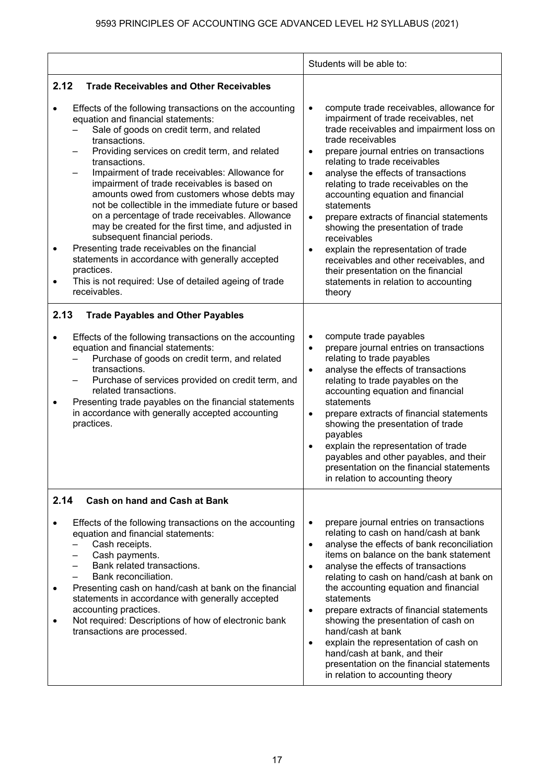|                                                                                                                                                                                                                                                                                                                                                                                                                                                                                                                                                                                                                                                                                                                                                                                          | Students will be able to:                                                                                                                                                                                                                                                                                                                                                                                                                                                                                                                                                                                                                                                                                  |
|------------------------------------------------------------------------------------------------------------------------------------------------------------------------------------------------------------------------------------------------------------------------------------------------------------------------------------------------------------------------------------------------------------------------------------------------------------------------------------------------------------------------------------------------------------------------------------------------------------------------------------------------------------------------------------------------------------------------------------------------------------------------------------------|------------------------------------------------------------------------------------------------------------------------------------------------------------------------------------------------------------------------------------------------------------------------------------------------------------------------------------------------------------------------------------------------------------------------------------------------------------------------------------------------------------------------------------------------------------------------------------------------------------------------------------------------------------------------------------------------------------|
| 2.12<br><b>Trade Receivables and Other Receivables</b>                                                                                                                                                                                                                                                                                                                                                                                                                                                                                                                                                                                                                                                                                                                                   |                                                                                                                                                                                                                                                                                                                                                                                                                                                                                                                                                                                                                                                                                                            |
| Effects of the following transactions on the accounting<br>equation and financial statements:<br>Sale of goods on credit term, and related<br>transactions.<br>Providing services on credit term, and related<br>transactions.<br>Impairment of trade receivables: Allowance for<br>impairment of trade receivables is based on<br>amounts owed from customers whose debts may<br>not be collectible in the immediate future or based<br>on a percentage of trade receivables. Allowance<br>may be created for the first time, and adjusted in<br>subsequent financial periods.<br>Presenting trade receivables on the financial<br>$\bullet$<br>statements in accordance with generally accepted<br>practices.<br>This is not required: Use of detailed ageing of trade<br>receivables. | compute trade receivables, allowance for<br>$\bullet$<br>impairment of trade receivables, net<br>trade receivables and impairment loss on<br>trade receivables<br>prepare journal entries on transactions<br>$\bullet$<br>relating to trade receivables<br>analyse the effects of transactions<br>$\bullet$<br>relating to trade receivables on the<br>accounting equation and financial<br>statements<br>$\bullet$<br>prepare extracts of financial statements<br>showing the presentation of trade<br>receivables<br>explain the representation of trade<br>$\bullet$<br>receivables and other receivables, and<br>their presentation on the financial<br>statements in relation to accounting<br>theory |
| 2.13<br><b>Trade Payables and Other Payables</b>                                                                                                                                                                                                                                                                                                                                                                                                                                                                                                                                                                                                                                                                                                                                         |                                                                                                                                                                                                                                                                                                                                                                                                                                                                                                                                                                                                                                                                                                            |
| Effects of the following transactions on the accounting<br>equation and financial statements:<br>Purchase of goods on credit term, and related<br>transactions.<br>Purchase of services provided on credit term, and<br>related transactions.<br>Presenting trade payables on the financial statements<br>٠<br>in accordance with generally accepted accounting<br>practices.                                                                                                                                                                                                                                                                                                                                                                                                            | compute trade payables<br>$\bullet$<br>prepare journal entries on transactions<br>$\bullet$<br>relating to trade payables<br>analyse the effects of transactions<br>$\bullet$<br>relating to trade payables on the<br>accounting equation and financial<br>statements<br>prepare extracts of financial statements<br>$\bullet$<br>showing the presentation of trade<br>payables<br>explain the representation of trade<br>$\bullet$<br>payables and other payables, and their<br>presentation on the financial statements<br>in relation to accounting theory                                                                                                                                              |
| 2.14<br><b>Cash on hand and Cash at Bank</b>                                                                                                                                                                                                                                                                                                                                                                                                                                                                                                                                                                                                                                                                                                                                             |                                                                                                                                                                                                                                                                                                                                                                                                                                                                                                                                                                                                                                                                                                            |
| Effects of the following transactions on the accounting<br>equation and financial statements:<br>Cash receipts.<br>Cash payments.<br>Bank related transactions.<br>Bank reconciliation.<br>Presenting cash on hand/cash at bank on the financial<br>statements in accordance with generally accepted<br>accounting practices.<br>Not required: Descriptions of how of electronic bank<br>transactions are processed.                                                                                                                                                                                                                                                                                                                                                                     | prepare journal entries on transactions<br>$\bullet$<br>relating to cash on hand/cash at bank<br>analyse the effects of bank reconciliation<br>$\bullet$<br>items on balance on the bank statement<br>analyse the effects of transactions<br>$\bullet$<br>relating to cash on hand/cash at bank on<br>the accounting equation and financial<br>statements<br>prepare extracts of financial statements<br>$\bullet$<br>showing the presentation of cash on<br>hand/cash at bank<br>explain the representation of cash on<br>$\bullet$<br>hand/cash at bank, and their<br>presentation on the financial statements<br>in relation to accounting theory                                                       |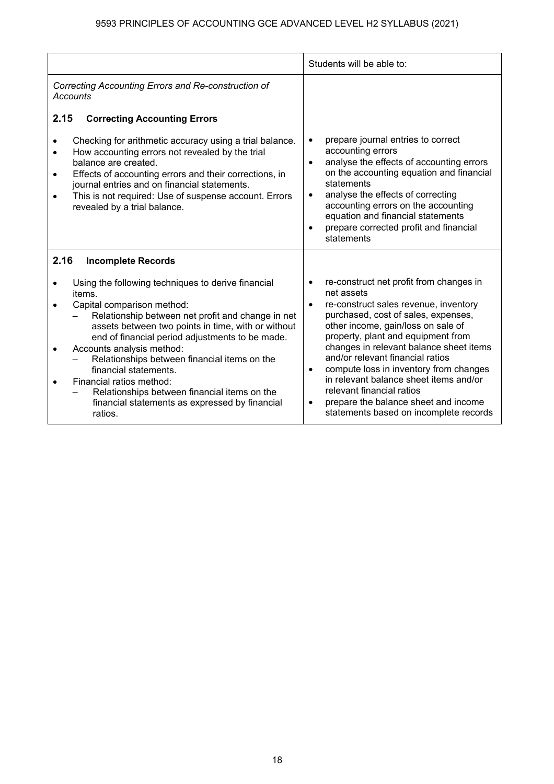|                                                                                                                                                                                                                                                                                                                                                                                                                                                                                                         | Students will be able to:                                                                                                                                                                                                                                                                                                                                                                                                                                                                                                     |
|---------------------------------------------------------------------------------------------------------------------------------------------------------------------------------------------------------------------------------------------------------------------------------------------------------------------------------------------------------------------------------------------------------------------------------------------------------------------------------------------------------|-------------------------------------------------------------------------------------------------------------------------------------------------------------------------------------------------------------------------------------------------------------------------------------------------------------------------------------------------------------------------------------------------------------------------------------------------------------------------------------------------------------------------------|
| Correcting Accounting Errors and Re-construction of<br><b>Accounts</b>                                                                                                                                                                                                                                                                                                                                                                                                                                  |                                                                                                                                                                                                                                                                                                                                                                                                                                                                                                                               |
| 2.15<br><b>Correcting Accounting Errors</b>                                                                                                                                                                                                                                                                                                                                                                                                                                                             |                                                                                                                                                                                                                                                                                                                                                                                                                                                                                                                               |
| Checking for arithmetic accuracy using a trial balance.<br>How accounting errors not revealed by the trial<br>$\bullet$<br>balance are created.<br>Effects of accounting errors and their corrections, in<br>$\bullet$<br>journal entries and on financial statements.<br>This is not required: Use of suspense account. Errors<br>revealed by a trial balance.                                                                                                                                         | prepare journal entries to correct<br>$\bullet$<br>accounting errors<br>analyse the effects of accounting errors<br>on the accounting equation and financial<br>statements<br>analyse the effects of correcting<br>$\bullet$<br>accounting errors on the accounting<br>equation and financial statements<br>prepare corrected profit and financial<br>statements                                                                                                                                                              |
| 2.16<br><b>Incomplete Records</b>                                                                                                                                                                                                                                                                                                                                                                                                                                                                       |                                                                                                                                                                                                                                                                                                                                                                                                                                                                                                                               |
| Using the following techniques to derive financial<br>items.<br>Capital comparison method:<br>Relationship between net profit and change in net<br>assets between two points in time, with or without<br>end of financial period adjustments to be made.<br>Accounts analysis method:<br>Relationships between financial items on the<br>financial statements.<br>Financial ratios method:<br>Relationships between financial items on the<br>financial statements as expressed by financial<br>ratios. | re-construct net profit from changes in<br>net assets<br>re-construct sales revenue, inventory<br>$\bullet$<br>purchased, cost of sales, expenses,<br>other income, gain/loss on sale of<br>property, plant and equipment from<br>changes in relevant balance sheet items<br>and/or relevant financial ratios<br>compute loss in inventory from changes<br>$\bullet$<br>in relevant balance sheet items and/or<br>relevant financial ratios<br>prepare the balance sheet and income<br>statements based on incomplete records |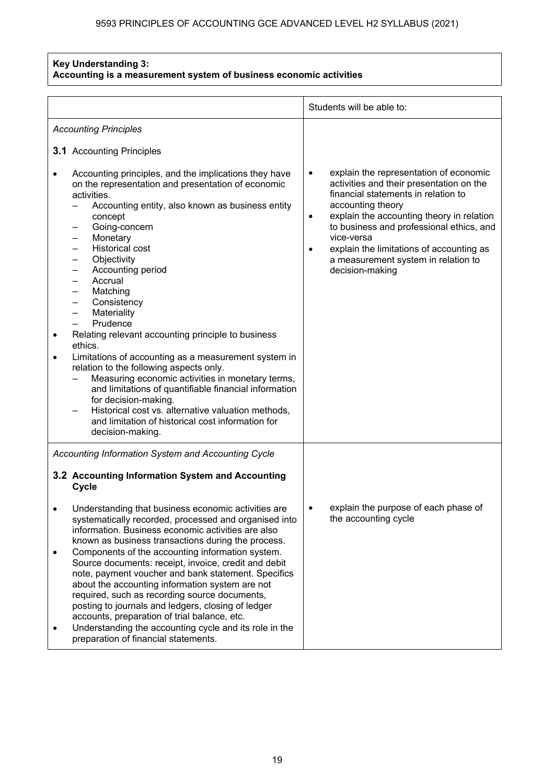#### **Key Understanding 3: Accounting is a measurement system of business economic activities**

|                        |                                                                                                                                                                                                                                                                                                                                                                                                                                                                                                                                                                                                                                                                                                                                                                                                    | Students will be able to:                                                                                                                                                                                                                                                                                                                                             |  |
|------------------------|----------------------------------------------------------------------------------------------------------------------------------------------------------------------------------------------------------------------------------------------------------------------------------------------------------------------------------------------------------------------------------------------------------------------------------------------------------------------------------------------------------------------------------------------------------------------------------------------------------------------------------------------------------------------------------------------------------------------------------------------------------------------------------------------------|-----------------------------------------------------------------------------------------------------------------------------------------------------------------------------------------------------------------------------------------------------------------------------------------------------------------------------------------------------------------------|--|
|                        | <b>Accounting Principles</b>                                                                                                                                                                                                                                                                                                                                                                                                                                                                                                                                                                                                                                                                                                                                                                       |                                                                                                                                                                                                                                                                                                                                                                       |  |
|                        | <b>3.1</b> Accounting Principles                                                                                                                                                                                                                                                                                                                                                                                                                                                                                                                                                                                                                                                                                                                                                                   |                                                                                                                                                                                                                                                                                                                                                                       |  |
| $\bullet$<br>$\bullet$ | Accounting principles, and the implications they have<br>on the representation and presentation of economic<br>activities.<br>Accounting entity, also known as business entity<br>concept<br>Going-concern<br>Monetary<br><b>Historical cost</b><br>Objectivity<br>Accounting period<br>Accrual<br>Matching<br>Consistency<br>Materiality<br>—<br>Prudence<br>Relating relevant accounting principle to business<br>ethics.<br>Limitations of accounting as a measurement system in<br>relation to the following aspects only.<br>Measuring economic activities in monetary terms,<br>and limitations of quantifiable financial information<br>for decision-making.<br>Historical cost vs. alternative valuation methods,<br>and limitation of historical cost information for<br>decision-making. | explain the representation of economic<br>٠<br>activities and their presentation on the<br>financial statements in relation to<br>accounting theory<br>explain the accounting theory in relation<br>٠<br>to business and professional ethics, and<br>vice-versa<br>explain the limitations of accounting as<br>a measurement system in relation to<br>decision-making |  |
|                        | Accounting Information System and Accounting Cycle                                                                                                                                                                                                                                                                                                                                                                                                                                                                                                                                                                                                                                                                                                                                                 |                                                                                                                                                                                                                                                                                                                                                                       |  |
|                        | 3.2 Accounting Information System and Accounting<br>Cycle                                                                                                                                                                                                                                                                                                                                                                                                                                                                                                                                                                                                                                                                                                                                          |                                                                                                                                                                                                                                                                                                                                                                       |  |
|                        | Understanding that business economic activities are<br>systematically recorded, processed and organised into<br>information. Business economic activities are also<br>known as business transactions during the process.                                                                                                                                                                                                                                                                                                                                                                                                                                                                                                                                                                           | explain the purpose of each phase of<br>the accounting cycle                                                                                                                                                                                                                                                                                                          |  |
| $\bullet$              | Components of the accounting information system.<br>Source documents: receipt, invoice, credit and debit<br>note, payment voucher and bank statement. Specifics<br>about the accounting information system are not<br>required, such as recording source documents,<br>posting to journals and ledgers, closing of ledger<br>accounts, preparation of trial balance, etc.<br>Understanding the accounting cycle and its role in the<br>preparation of financial statements.                                                                                                                                                                                                                                                                                                                        |                                                                                                                                                                                                                                                                                                                                                                       |  |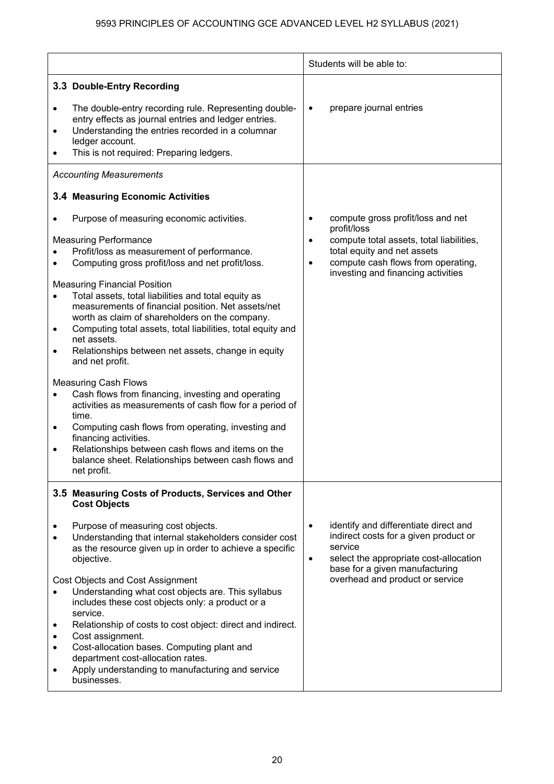|                                                  |                                                                                                                                                                                                                                                                                                                                                                                                                                                                                                                                                                                                                                                                                                                                                                                                                                                                                                             | Students will be able to: |                                                                                                                                                                                                         |
|--------------------------------------------------|-------------------------------------------------------------------------------------------------------------------------------------------------------------------------------------------------------------------------------------------------------------------------------------------------------------------------------------------------------------------------------------------------------------------------------------------------------------------------------------------------------------------------------------------------------------------------------------------------------------------------------------------------------------------------------------------------------------------------------------------------------------------------------------------------------------------------------------------------------------------------------------------------------------|---------------------------|---------------------------------------------------------------------------------------------------------------------------------------------------------------------------------------------------------|
|                                                  | 3.3 Double-Entry Recording                                                                                                                                                                                                                                                                                                                                                                                                                                                                                                                                                                                                                                                                                                                                                                                                                                                                                  |                           |                                                                                                                                                                                                         |
| $\bullet$<br>$\bullet$                           | The double-entry recording rule. Representing double-<br>entry effects as journal entries and ledger entries.<br>Understanding the entries recorded in a columnar<br>ledger account.<br>This is not required: Preparing ledgers.                                                                                                                                                                                                                                                                                                                                                                                                                                                                                                                                                                                                                                                                            |                           | prepare journal entries                                                                                                                                                                                 |
|                                                  | <b>Accounting Measurements</b>                                                                                                                                                                                                                                                                                                                                                                                                                                                                                                                                                                                                                                                                                                                                                                                                                                                                              |                           |                                                                                                                                                                                                         |
|                                                  | 3.4 Measuring Economic Activities                                                                                                                                                                                                                                                                                                                                                                                                                                                                                                                                                                                                                                                                                                                                                                                                                                                                           |                           |                                                                                                                                                                                                         |
| $\bullet$<br>$\bullet$<br>$\bullet$<br>$\bullet$ | Purpose of measuring economic activities.<br><b>Measuring Performance</b><br>Profit/loss as measurement of performance.<br>Computing gross profit/loss and net profit/loss.<br><b>Measuring Financial Position</b><br>Total assets, total liabilities and total equity as<br>measurements of financial position. Net assets/net<br>worth as claim of shareholders on the company.<br>Computing total assets, total liabilities, total equity and<br>net assets.<br>Relationships between net assets, change in equity<br>and net profit.<br><b>Measuring Cash Flows</b><br>Cash flows from financing, investing and operating<br>activities as measurements of cash flow for a period of<br>time.<br>Computing cash flows from operating, investing and<br>financing activities.<br>Relationships between cash flows and items on the<br>balance sheet. Relationships between cash flows and<br>net profit. | $\bullet$<br>$\bullet$    | compute gross profit/loss and net<br>profit/loss<br>compute total assets, total liabilities,<br>total equity and net assets<br>compute cash flows from operating,<br>investing and financing activities |
|                                                  | 3.5 Measuring Costs of Products, Services and Other<br><b>Cost Objects</b>                                                                                                                                                                                                                                                                                                                                                                                                                                                                                                                                                                                                                                                                                                                                                                                                                                  |                           |                                                                                                                                                                                                         |
|                                                  | Purpose of measuring cost objects.<br>Understanding that internal stakeholders consider cost<br>as the resource given up in order to achieve a specific<br>objective.                                                                                                                                                                                                                                                                                                                                                                                                                                                                                                                                                                                                                                                                                                                                       | $\bullet$<br>$\bullet$    | identify and differentiate direct and<br>indirect costs for a given product or<br>service<br>select the appropriate cost-allocation<br>base for a given manufacturing                                   |
|                                                  | Cost Objects and Cost Assignment<br>Understanding what cost objects are. This syllabus<br>includes these cost objects only: a product or a<br>service.<br>Relationship of costs to cost object: direct and indirect.<br>Cost assignment.<br>Cost-allocation bases. Computing plant and<br>department cost-allocation rates.<br>Apply understanding to manufacturing and service<br>businesses.                                                                                                                                                                                                                                                                                                                                                                                                                                                                                                              |                           | overhead and product or service                                                                                                                                                                         |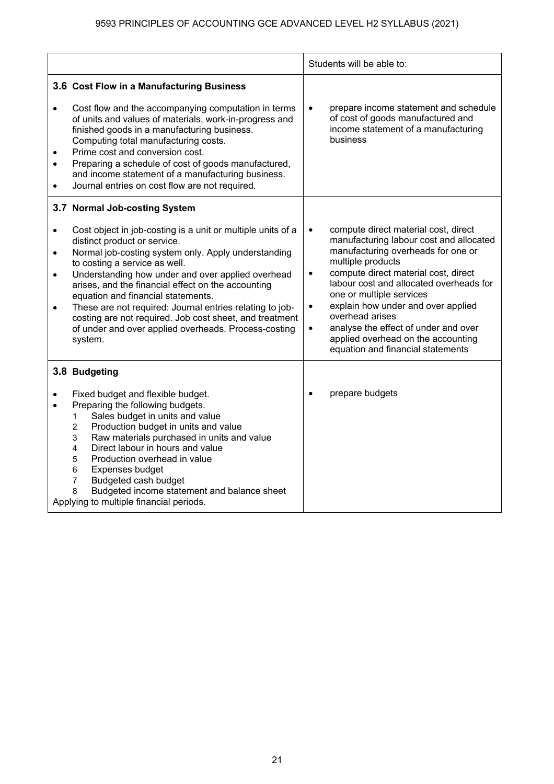|                                                                                                                                                                                                                                                                                                                                                                                                                                                                                                                                                                                                                     | Students will be able to:                                                                                                                                                                                                                                                                                                                                                                                                                                                                 |
|---------------------------------------------------------------------------------------------------------------------------------------------------------------------------------------------------------------------------------------------------------------------------------------------------------------------------------------------------------------------------------------------------------------------------------------------------------------------------------------------------------------------------------------------------------------------------------------------------------------------|-------------------------------------------------------------------------------------------------------------------------------------------------------------------------------------------------------------------------------------------------------------------------------------------------------------------------------------------------------------------------------------------------------------------------------------------------------------------------------------------|
| 3.6 Cost Flow in a Manufacturing Business<br>Cost flow and the accompanying computation in terms<br>$\bullet$<br>of units and values of materials, work-in-progress and<br>finished goods in a manufacturing business.<br>Computing total manufacturing costs.<br>Prime cost and conversion cost.<br>Preparing a schedule of cost of goods manufactured,<br>$\bullet$<br>and income statement of a manufacturing business.<br>Journal entries on cost flow are not required.<br>$\bullet$                                                                                                                           | prepare income statement and schedule<br>$\bullet$<br>of cost of goods manufactured and<br>income statement of a manufacturing<br>business                                                                                                                                                                                                                                                                                                                                                |
| 3.7 Normal Job-costing System<br>Cost object in job-costing is a unit or multiple units of a<br>$\bullet$<br>distinct product or service.<br>Normal job-costing system only. Apply understanding<br>$\bullet$<br>to costing a service as well.<br>Understanding how under and over applied overhead<br>$\bullet$<br>arises, and the financial effect on the accounting<br>equation and financial statements.<br>These are not required: Journal entries relating to job-<br>$\bullet$<br>costing are not required. Job cost sheet, and treatment<br>of under and over applied overheads. Process-costing<br>system. | compute direct material cost, direct<br>$\bullet$<br>manufacturing labour cost and allocated<br>manufacturing overheads for one or<br>multiple products<br>compute direct material cost, direct<br>$\bullet$<br>labour cost and allocated overheads for<br>one or multiple services<br>explain how under and over applied<br>$\bullet$<br>overhead arises<br>analyse the effect of under and over<br>$\bullet$<br>applied overhead on the accounting<br>equation and financial statements |
| 3.8 Budgeting<br>Fixed budget and flexible budget.<br>Preparing the following budgets.<br>Sales budget in units and value<br>1<br>Production budget in units and value<br>$\overline{2}$<br>Raw materials purchased in units and value<br>3<br>Direct labour in hours and value<br>4<br>Production overhead in value<br>5<br>Expenses budget<br>6<br>Budgeted cash budget<br>7<br>Budgeted income statement and balance sheet<br>8<br>Applying to multiple financial periods.                                                                                                                                       | prepare budgets                                                                                                                                                                                                                                                                                                                                                                                                                                                                           |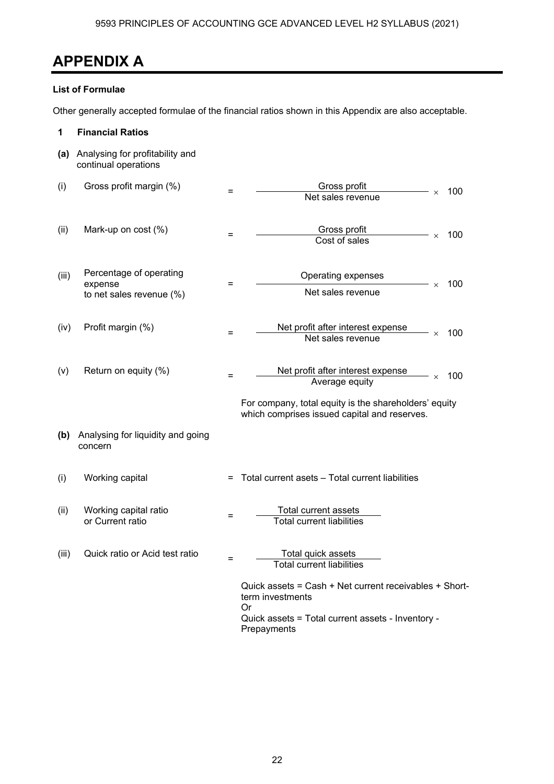## **APPENDIX A**

#### **List of Formulae**

Other generally accepted formulae of the financial ratios shown in this Appendix are also acceptable.

| 1     | <b>Financial Ratios</b>                                           |     |                                                                                                                                                      |
|-------|-------------------------------------------------------------------|-----|------------------------------------------------------------------------------------------------------------------------------------------------------|
| (a)   | Analysing for profitability and<br>continual operations           |     |                                                                                                                                                      |
| (i)   | Gross profit margin (%)                                           | =   | Gross profit<br>100<br>$\times$<br>Net sales revenue                                                                                                 |
| (ii)  | Mark-up on cost (%)                                               | $=$ | Gross profit<br>100<br>$\times$<br>Cost of sales                                                                                                     |
| (iii) | Percentage of operating<br>expense<br>to net sales revenue $(\%)$ | =   | Operating expenses<br>100<br>$\times$<br>Net sales revenue                                                                                           |
| (iv)  | Profit margin (%)                                                 | $=$ | Net profit after interest expense<br>100<br>$\times$<br>Net sales revenue                                                                            |
| (v)   | Return on equity (%)                                              | =   | Net profit after interest expense<br>100<br>$\times$<br>Average equity                                                                               |
|       |                                                                   |     | For company, total equity is the shareholders' equity<br>which comprises issued capital and reserves.                                                |
| (b)   | Analysing for liquidity and going<br>concern                      |     |                                                                                                                                                      |
| (i)   | Working capital                                                   | $=$ | Total current asets - Total current liabilities                                                                                                      |
| (ii)  | Working capital ratio<br>or Current ratio                         |     | Total current assets<br><b>Total current liabilities</b>                                                                                             |
| (iii) | Quick ratio or Acid test ratio                                    |     | Total quick assets<br><b>Total current liabilities</b>                                                                                               |
|       |                                                                   |     | Quick assets = Cash + Net current receivables + Short-<br>term investments<br>Or<br>Quick assets = Total current assets - Inventory -<br>Prepayments |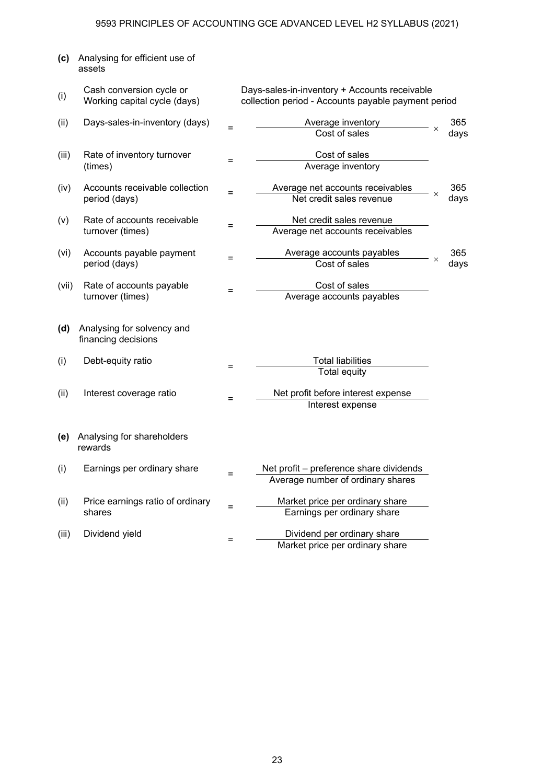| (c)   | Analysing for efficient use of<br>assets                 |     |                                                                                                      |          |      |
|-------|----------------------------------------------------------|-----|------------------------------------------------------------------------------------------------------|----------|------|
| (i)   | Cash conversion cycle or<br>Working capital cycle (days) |     | Days-sales-in-inventory + Accounts receivable<br>collection period - Accounts payable payment period |          |      |
| (ii)  | Days-sales-in-inventory (days)                           |     | Average inventory                                                                                    |          | 365  |
|       |                                                          | Ξ   | Cost of sales                                                                                        | $\times$ | days |
| (iii) | Rate of inventory turnover                               |     | Cost of sales                                                                                        |          |      |
|       | (times)                                                  | $=$ | Average inventory                                                                                    |          |      |
| (iv)  | Accounts receivable collection                           | $=$ | Average net accounts receivables                                                                     |          | 365  |
|       | period (days)                                            |     | Net credit sales revenue                                                                             | $\times$ | days |
| (v)   | Rate of accounts receivable                              |     | Net credit sales revenue                                                                             |          |      |
|       | turnover (times)                                         | Ξ   | Average net accounts receivables                                                                     |          |      |
| (vi)  | Accounts payable payment                                 | Ξ   | Average accounts payables                                                                            |          | 365  |
|       | period (days)                                            |     | Cost of sales                                                                                        | $\times$ | days |
| (vii) | Rate of accounts payable                                 | $=$ | Cost of sales                                                                                        |          |      |
|       | turnover (times)                                         |     | Average accounts payables                                                                            |          |      |
| (d)   | Analysing for solvency and<br>financing decisions        |     |                                                                                                      |          |      |
| (i)   | Debt-equity ratio                                        |     | <b>Total liabilities</b>                                                                             |          |      |
|       |                                                          | $=$ | <b>Total equity</b>                                                                                  |          |      |
| (ii)  | Interest coverage ratio                                  |     | Net profit before interest expense                                                                   |          |      |
|       |                                                          | Ξ   | Interest expense                                                                                     |          |      |
|       |                                                          |     |                                                                                                      |          |      |
| (e)   | Analysing for shareholders<br>rewards                    |     |                                                                                                      |          |      |
| (i)   | Earnings per ordinary share                              | $=$ | Net profit - preference share dividends                                                              |          |      |
|       |                                                          |     | Average number of ordinary shares                                                                    |          |      |
| (ii)  | Price earnings ratio of ordinary                         | $=$ | Market price per ordinary share                                                                      |          |      |
|       | shares                                                   |     | Earnings per ordinary share                                                                          |          |      |
| (iii) | Dividend yield                                           | $=$ | Dividend per ordinary share                                                                          |          |      |
|       |                                                          |     | Market price per ordinary share                                                                      |          |      |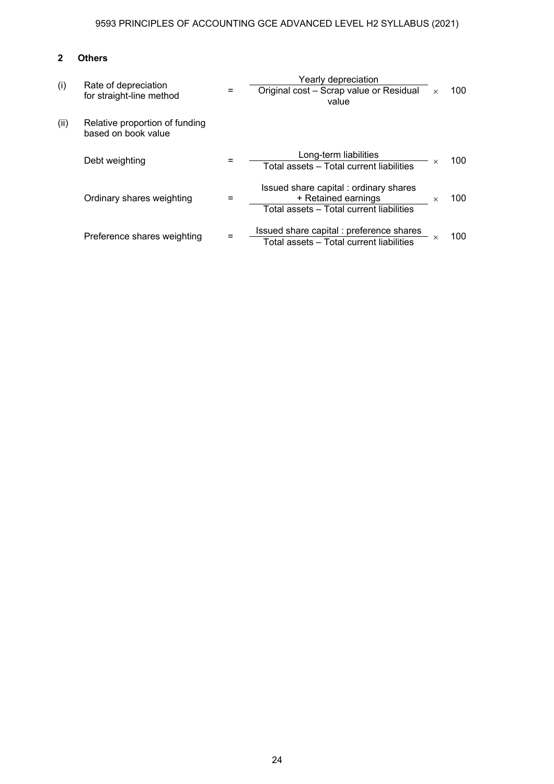### **2 Others**

| (i)  | Rate of depreciation<br>for straight-line method      | $=$ | Yearly depreciation<br>Original cost - Scrap value or Residual<br>value                                  | $\times$ | 100  |
|------|-------------------------------------------------------|-----|----------------------------------------------------------------------------------------------------------|----------|------|
| (ii) | Relative proportion of funding<br>based on book value |     |                                                                                                          |          |      |
|      | Debt weighting                                        |     | Long-term liabilities<br>Total assets - Total current liabilities                                        | X        | 100  |
|      | Ordinary shares weighting                             |     | Issued share capital: ordinary shares<br>+ Retained earnings<br>Total assets - Total current liabilities | $\times$ | 100. |
|      | Preference shares weighting                           |     | Issued share capital: preference shares<br>Total assets - Total current liabilities                      |          | 100. |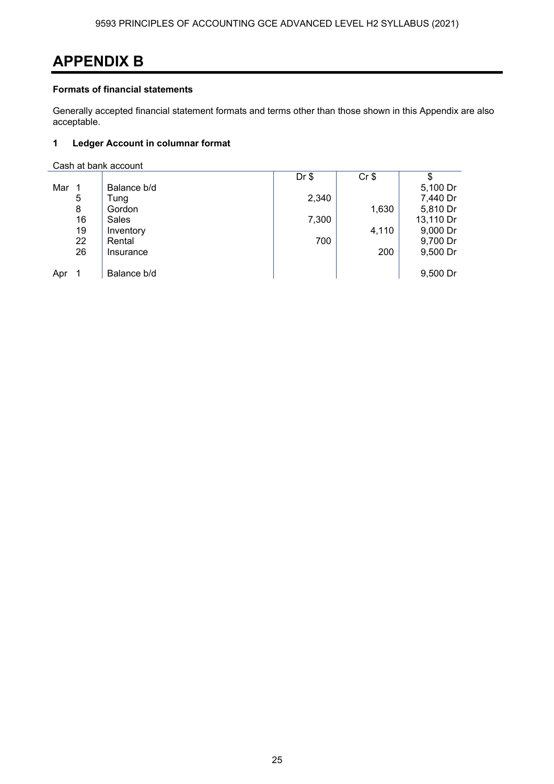## **APPENDIX B**

#### **Formats of financial statements**

Generally accepted financial statement formats and terms other than those shown in this Appendix are also acceptable.

#### **1 Ledger Account in columnar format**

Cash at bank account

|     |    |             | $Dr$ \$ | $Cr$ \$ | \$        |
|-----|----|-------------|---------|---------|-----------|
| Mar | 1  | Balance b/d |         |         | 5,100 Dr  |
|     | 5  | Tung        | 2,340   |         | 7,440 Dr  |
|     | 8  | Gordon      |         | 1,630   | 5,810 Dr  |
|     | 16 | Sales       | 7,300   |         | 13,110 Dr |
|     | 19 | Inventory   |         | 4,110   | 9,000 Dr  |
|     | 22 | Rental      | 700     |         | 9,700 Dr  |
|     | 26 | Insurance   |         | 200     | 9,500 Dr  |
|     |    |             |         |         |           |
| Apr |    | Balance b/d |         |         | 9,500 Dr  |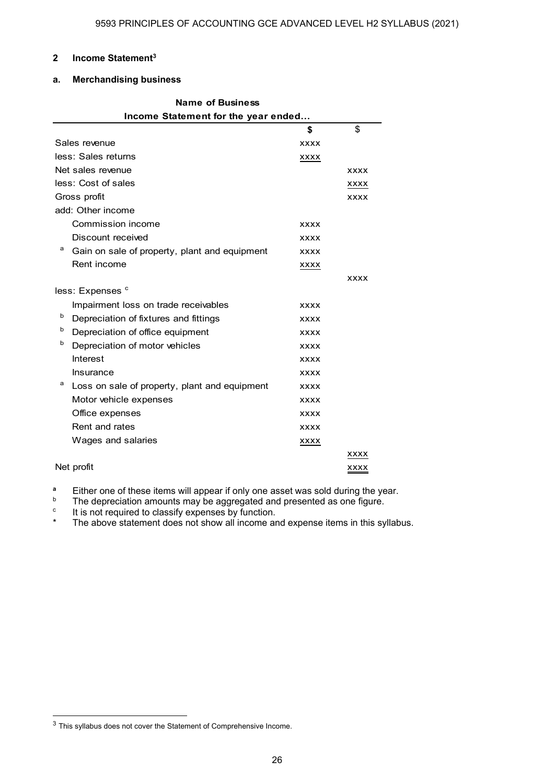#### **2 Income Statement3**

#### **a. Merchandising business**

| Name of Business                                   |             |             |  |
|----------------------------------------------------|-------------|-------------|--|
| Income Statement for the year ended                |             |             |  |
|                                                    | \$          | \$          |  |
| Sales revenue                                      | <b>XXXX</b> |             |  |
| less: Sales returns                                | xxxx        |             |  |
| Net sales revenue                                  |             | <b>XXXX</b> |  |
| less: Cost of sales                                |             | XXXX        |  |
| Gross profit                                       |             | <b>XXXX</b> |  |
| add: Other income                                  |             |             |  |
| Commission income                                  | <b>XXXX</b> |             |  |
| Discount received                                  | <b>XXXX</b> |             |  |
| а<br>Gain on sale of property, plant and equipment | <b>XXXX</b> |             |  |
| Rent income                                        | XXXX        |             |  |
|                                                    |             | <b>XXXX</b> |  |
| less: Expenses <sup>c</sup>                        |             |             |  |
| Impairment loss on trade receivables               | <b>XXXX</b> |             |  |
| b<br>Depreciation of fixtures and fittings         | <b>XXXX</b> |             |  |
| b<br>Depreciation of office equipment              | <b>XXXX</b> |             |  |
| b<br>Depreciation of motor vehicles                | <b>XXXX</b> |             |  |
| Interest                                           | <b>XXXX</b> |             |  |
| Insurance                                          | <b>XXXX</b> |             |  |
| а<br>Loss on sale of property, plant and equipment | <b>XXXX</b> |             |  |
| Motor vehicle expenses                             | <b>XXXX</b> |             |  |
| Office expenses                                    | <b>XXXX</b> |             |  |
| Rent and rates                                     | <b>XXXX</b> |             |  |
| Wages and salaries                                 | XXXX        |             |  |
|                                                    |             | XXXX        |  |
| Net profit                                         |             | <b>XXXX</b> |  |

**a** Either one of these items will appear if only one asset was sold during the year.

The depreciation amounts may be aggregated and presented as one figure.

c  $\cdot$  It is not required to classify expenses by function.<br> $\cdot$  The above statement does not show all income and

The above statement does not show all income and expense items in this syllabus.

<sup>&</sup>lt;sup>3</sup> This syllabus does not cover the Statement of Comprehensive Income.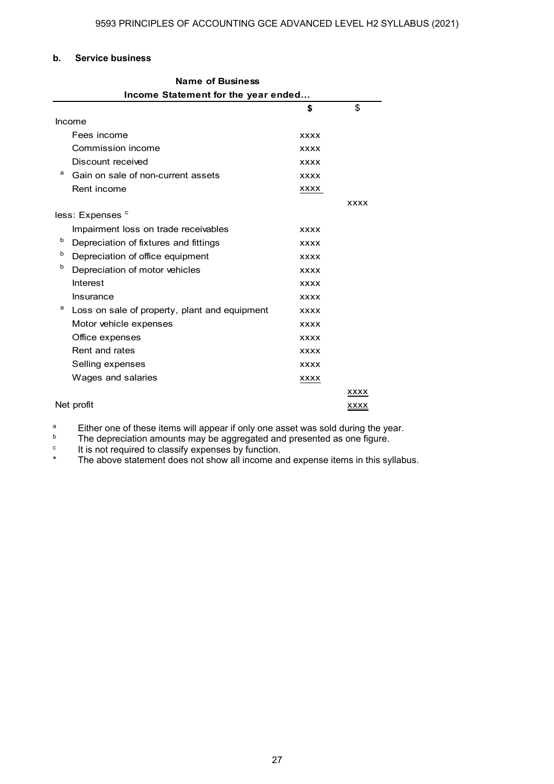#### **b. Service business**

|    | <b>Name of Business</b>                       |             |             |  |  |  |  |
|----|-----------------------------------------------|-------------|-------------|--|--|--|--|
|    | Income Statement for the year ended           |             |             |  |  |  |  |
| \$ |                                               |             |             |  |  |  |  |
|    | Income                                        |             |             |  |  |  |  |
|    | Fees income                                   | <b>XXXX</b> |             |  |  |  |  |
|    | Commission income                             | <b>XXXX</b> |             |  |  |  |  |
|    | Discount received                             | <b>XXXX</b> |             |  |  |  |  |
| а  | Gain on sale of non-current assets            | <b>XXXX</b> |             |  |  |  |  |
|    | Rent income                                   | <b>XXXX</b> |             |  |  |  |  |
|    |                                               |             | <b>XXXX</b> |  |  |  |  |
|    | less: Expenses <sup>c</sup>                   |             |             |  |  |  |  |
|    | Impairment loss on trade receivables          | <b>XXXX</b> |             |  |  |  |  |
| b  | Depreciation of fixtures and fittings         | <b>XXXX</b> |             |  |  |  |  |
| b  | Depreciation of office equipment              | <b>XXXX</b> |             |  |  |  |  |
| b  | Depreciation of motor vehicles                | <b>XXXX</b> |             |  |  |  |  |
|    | Interest                                      | <b>XXXX</b> |             |  |  |  |  |
|    | Insurance                                     | <b>XXXX</b> |             |  |  |  |  |
| a  | Loss on sale of property, plant and equipment | <b>XXXX</b> |             |  |  |  |  |
|    | Motor vehicle expenses                        | <b>XXXX</b> |             |  |  |  |  |
|    | Office expenses                               | <b>XXXX</b> |             |  |  |  |  |
|    | Rent and rates                                | <b>XXXX</b> |             |  |  |  |  |
|    | Selling expenses                              | <b>XXXX</b> |             |  |  |  |  |
|    | Wages and salaries                            | XXXX        |             |  |  |  |  |
|    |                                               |             | XXXX        |  |  |  |  |
|    | Net profit                                    |             | <b>XXXX</b> |  |  |  |  |

<sup>a</sup> Either one of these items will appear if only one asset was sold during the year.<br>
The depreciation amounts may be aggregated and presented as one figure

<sup>b</sup> The depreciation amounts may be aggregated and presented as one figure.

c It is not required to classify expenses by function.

\* The above statement does not show all income and expense items in this syllabus.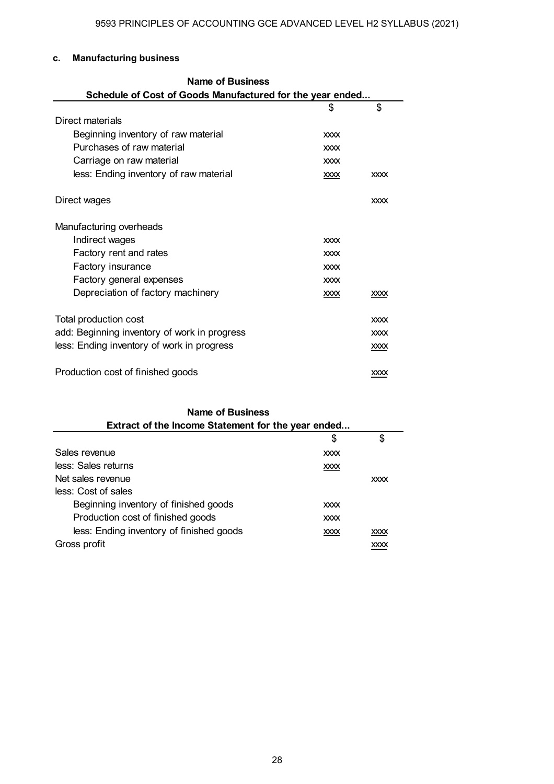#### **c. Manufacturing business**

| <b>Name of Business</b>                                   |             |             |  |
|-----------------------------------------------------------|-------------|-------------|--|
| Schedule of Cost of Goods Manufactured for the year ended |             |             |  |
|                                                           | \$          | \$          |  |
| Direct materials                                          |             |             |  |
| Beginning inventory of raw material                       | <b>XXXX</b> |             |  |
| Purchases of raw material                                 | <b>XXXX</b> |             |  |
| Carriage on raw material                                  | <b>XXXX</b> |             |  |
| less: Ending inventory of raw material                    | <b>XXXX</b> | <b>XXXX</b> |  |
| Direct wages                                              |             | <b>XXXX</b> |  |
| Manufacturing overheads                                   |             |             |  |
| Indirect wages                                            | <b>XXXX</b> |             |  |
| Factory rent and rates                                    | <b>XXXX</b> |             |  |
| Factory insurance                                         | <b>XXXX</b> |             |  |
| Factory general expenses                                  | <b>XXXX</b> |             |  |
| Depreciation of factory machinery                         | <b>XXXX</b> | XXXX        |  |
| Total production cost                                     |             | <b>XXXX</b> |  |
| add: Beginning inventory of work in progress              |             | <b>XXXX</b> |  |
| less: Ending inventory of work in progress                |             | <b>XXXX</b> |  |
| Production cost of finished goods                         |             | <b>XXXX</b> |  |

### $\sim$  \$ \$ Sales revenue xxxx less: Sales returns xxxx Net sales revenue xxxx less: Cost of sales Beginning inventory of finished goods xxxx Production cost of finished goods xxxx less: Ending inventory of finished goods xxxx xxx xxxx xxxx Gross profit xxxx **Name of Business Extract of the Income Statement for the year ended...**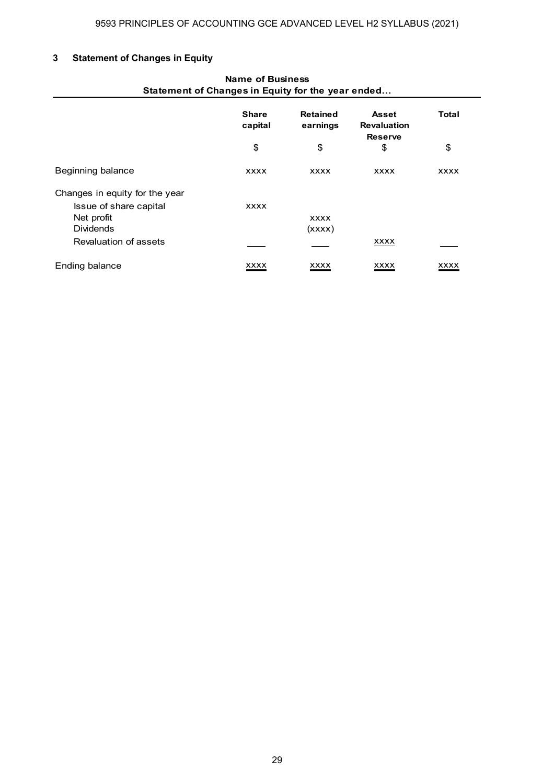### **3 Statement of Changes in Equity**

| <b>Name of Business</b><br>Statement of Changes in Equity for the year ended |                         |                             |                                                      |             |
|------------------------------------------------------------------------------|-------------------------|-----------------------------|------------------------------------------------------|-------------|
|                                                                              | <b>Share</b><br>capital | <b>Retained</b><br>earnings | <b>Asset</b><br><b>Revaluation</b><br><b>Reserve</b> | Total       |
|                                                                              | \$                      | \$                          | \$                                                   | \$          |
| Beginning balance                                                            | <b>XXXX</b>             | <b>XXXX</b>                 | <b>XXXX</b>                                          | <b>XXXX</b> |
| Changes in equity for the year                                               |                         |                             |                                                      |             |
| Issue of share capital                                                       | <b>XXXX</b>             |                             |                                                      |             |
| Net profit                                                                   |                         | <b>XXXX</b>                 |                                                      |             |
| <b>Dividends</b>                                                             |                         | (xxxx)                      |                                                      |             |
| Revaluation of assets                                                        |                         |                             | <b>XXXX</b>                                          |             |
| Ending balance                                                               | xxxx                    | <u>XXXX</u>                 | xxxx                                                 | XXXX        |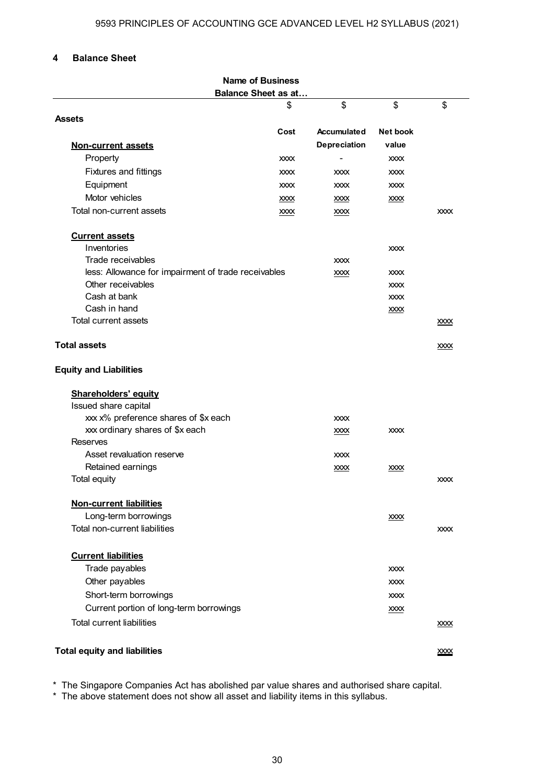#### **4 Balance Sheet**

| <b>Name of Business</b>                             |              |              |                 |             |
|-----------------------------------------------------|--------------|--------------|-----------------|-------------|
| <b>Balance Sheet as at</b>                          |              |              |                 |             |
|                                                     | \$           | \$           | \$              | \$          |
| <b>Assets</b>                                       |              |              |                 |             |
|                                                     | Cost         | Accumulated  | <b>Net book</b> |             |
| <b>Non-current assets</b>                           |              | Depreciation | value           |             |
| Property                                            | <b>XXXX</b>  |              | <b>XXXX</b>     |             |
| Fixtures and fittings                               | <b>XXXX</b>  | <b>XXXX</b>  | <b>XXXX</b>     |             |
| Equipment                                           | <b>XXXX</b>  | <b>XXXX</b>  | <b>XXXX</b>     |             |
| Motor vehicles                                      | <b>XXXX</b>  | <b>XXXX</b>  | <b>XXXX</b>     |             |
| Total non-current assets                            | $x$ $\infty$ | $x$ $\infty$ |                 | <b>XXXX</b> |
| <b>Current assets</b>                               |              |              |                 |             |
| Inventories                                         |              |              | <b>XXXX</b>     |             |
| Trade receivables                                   |              | <b>XXXX</b>  |                 |             |
| less: Allowance for impairment of trade receivables |              | XXXX         | <b>XXXX</b>     |             |
| Other receivables                                   |              |              | <b>XXXX</b>     |             |
| Cash at bank                                        |              |              | <b>XXXX</b>     |             |
| Cash in hand                                        |              |              | $x$ $\infty$    |             |
| Total current assets                                |              |              |                 | <u>xxxx</u> |
| <b>Total assets</b>                                 |              |              |                 | <b>XXXX</b> |
| <b>Equity and Liabilities</b>                       |              |              |                 |             |
| <b>Shareholders' equity</b>                         |              |              |                 |             |
| Issued share capital                                |              |              |                 |             |
| xxx x% preference shares of \$x each                |              | <b>XXXX</b>  |                 |             |
| xxx ordinary shares of \$x each                     |              | XXXX         | <b>XXXX</b>     |             |
| <b>Reserves</b><br>Asset revaluation reserve        |              |              |                 |             |
|                                                     |              | <b>XXXX</b>  |                 |             |
| Retained earnings<br>Total equity                   |              | <b>XXXX</b>  | <b>XXXX</b>     | <b>XXXX</b> |
|                                                     |              |              |                 |             |
| <b>Non-current liabilities</b>                      |              |              |                 |             |
| Long-term borrowings                                |              |              | XXXX            |             |
| Total non-current liabilities                       |              |              |                 | <b>XXXX</b> |
| <b>Current liabilities</b>                          |              |              |                 |             |
| Trade payables                                      |              |              | <b>XXXX</b>     |             |
| Other payables                                      |              |              | <b>XXXX</b>     |             |
| Short-term borrowings                               |              |              | <b>XXXX</b>     |             |
| Current portion of long-term borrowings             |              |              | <b>XXXX</b>     |             |
| <b>Total current liabilities</b>                    |              |              |                 | <b>XXXX</b> |
|                                                     |              |              |                 |             |
| <b>Total equity and liabilities</b>                 |              |              |                 | <b>XXXX</b> |

\* The Singapore Companies Act has abolished par value shares and authorised share capital.

\* The above statement does not show all asset and liability items in this syllabus.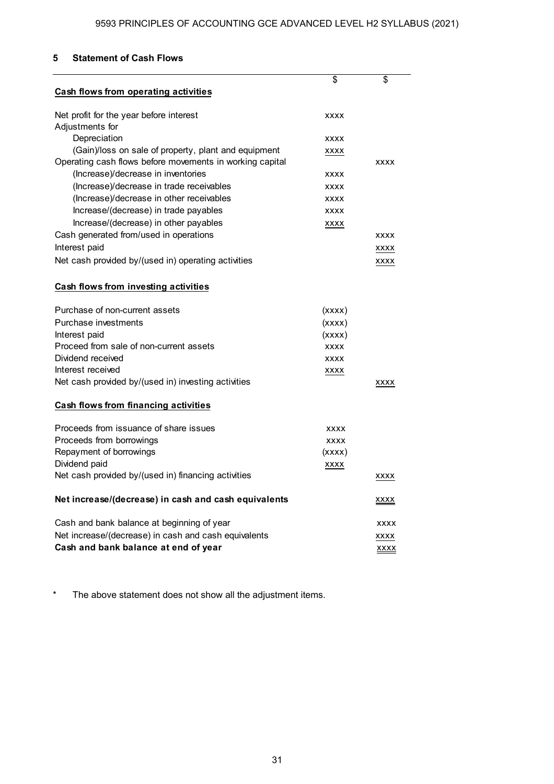### **5 Statement of Cash Flows**

|                                                          | \$          | \$          |
|----------------------------------------------------------|-------------|-------------|
| <b>Cash flows from operating activities</b>              |             |             |
| Net profit for the year before interest                  | <b>XXXX</b> |             |
| Adjustments for                                          |             |             |
| Depreciation                                             | <b>XXXX</b> |             |
| (Gain)/loss on sale of property, plant and equipment     | XXXX        |             |
| Operating cash flows before movements in working capital |             | <b>XXXX</b> |
| (Increase)/decrease in inventories                       | <b>XXXX</b> |             |
| (Increase)/decrease in trade receivables                 | <b>XXXX</b> |             |
| (Increase)/decrease in other receivables                 | <b>XXXX</b> |             |
| Increase/(decrease) in trade payables                    | <b>XXXX</b> |             |
| Increase/(decrease) in other payables                    | XXXX        |             |
| Cash generated from/used in operations                   |             | <b>XXXX</b> |
| Interest paid                                            |             | XXXX        |
| Net cash provided by/(used in) operating activities      |             | XXXX        |
| <b>Cash flows from investing activities</b>              |             |             |
| Purchase of non-current assets                           | (xxxx)      |             |
| Purchase investments                                     | (xxxx)      |             |
| Interest paid                                            | (xxxx)      |             |
| Proceed from sale of non-current assets                  | <b>XXXX</b> |             |
| Dividend received                                        | <b>XXXX</b> |             |
| Interest received                                        | <b>XXXX</b> |             |
| Net cash provided by/(used in) investing activities      |             | XXXX        |
| Cash flows from financing activities                     |             |             |
| Proceeds from issuance of share issues                   | <b>XXXX</b> |             |
| Proceeds from borrowings                                 | <b>XXXX</b> |             |
| Repayment of borrowings                                  | (xxxx)      |             |
| Dividend paid                                            | <b>XXXX</b> |             |
| Net cash provided by/(used in) financing activities      |             | xxxx        |
| Net increase/(decrease) in cash and cash equivalents     |             | <u>xxxx</u> |
| Cash and bank balance at beginning of year               |             | <b>XXXX</b> |
| Net increase/(decrease) in cash and cash equivalents     |             | XXXX        |
| Cash and bank balance at end of year                     |             | xxxx        |

\* The above statement does not show all the adjustment items.